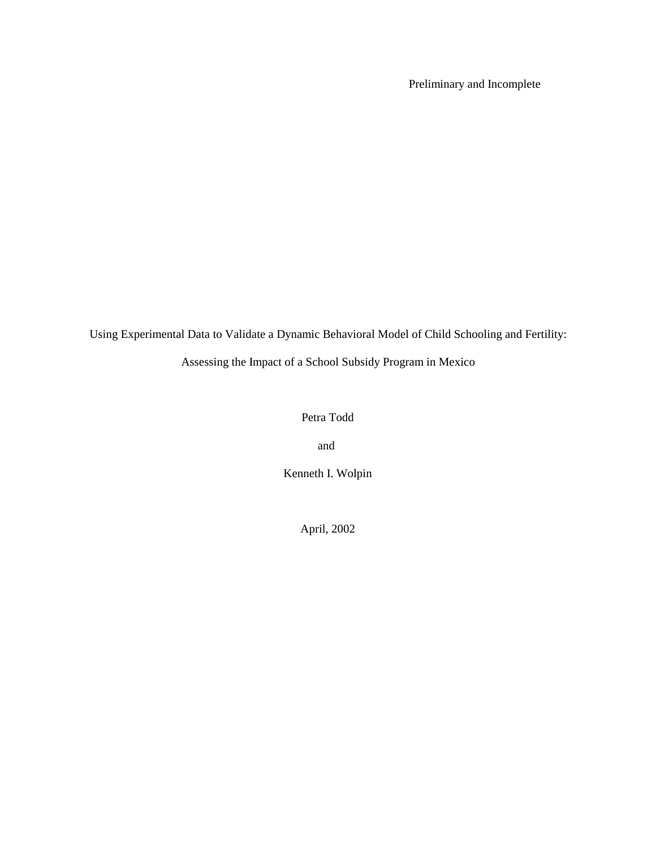Preliminary and Incomplete

Using Experimental Data to Validate a Dynamic Behavioral Model of Child Schooling and Fertility:

Assessing the Impact of a School Subsidy Program in Mexico

### Petra Todd

and

Kenneth I. Wolpin

April, 2002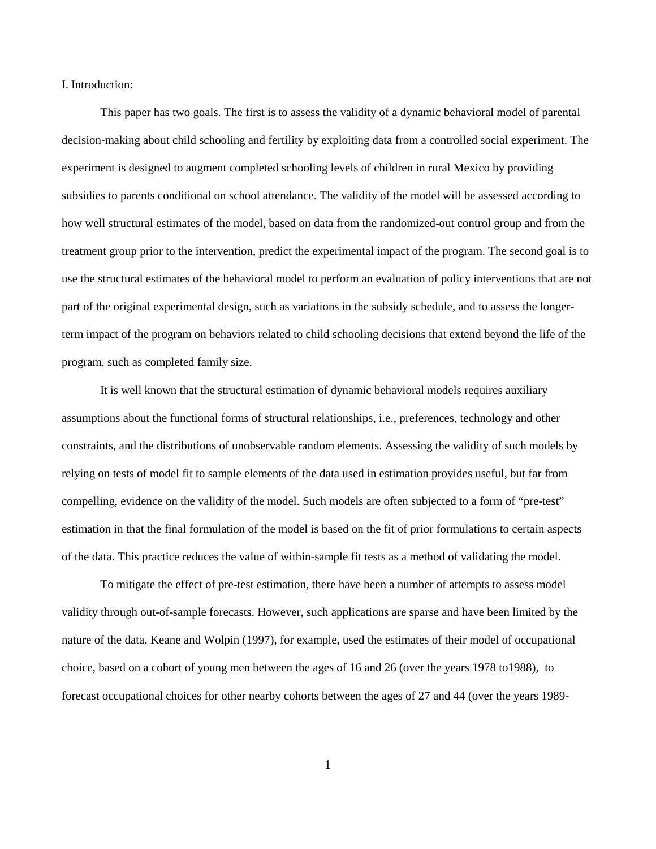I. Introduction:

This paper has two goals. The first is to assess the validity of a dynamic behavioral model of parental decision-making about child schooling and fertility by exploiting data from a controlled social experiment. The experiment is designed to augment completed schooling levels of children in rural Mexico by providing subsidies to parents conditional on school attendance. The validity of the model will be assessed according to how well structural estimates of the model, based on data from the randomized-out control group and from the treatment group prior to the intervention, predict the experimental impact of the program. The second goal is to use the structural estimates of the behavioral model to perform an evaluation of policy interventions that are not part of the original experimental design, such as variations in the subsidy schedule, and to assess the longerterm impact of the program on behaviors related to child schooling decisions that extend beyond the life of the program, such as completed family size.

It is well known that the structural estimation of dynamic behavioral models requires auxiliary assumptions about the functional forms of structural relationships, i.e., preferences, technology and other constraints, and the distributions of unobservable random elements. Assessing the validity of such models by relying on tests of model fit to sample elements of the data used in estimation provides useful, but far from compelling, evidence on the validity of the model. Such models are often subjected to a form of "pre-test" estimation in that the final formulation of the model is based on the fit of prior formulations to certain aspects of the data. This practice reduces the value of within-sample fit tests as a method of validating the model.

To mitigate the effect of pre-test estimation, there have been a number of attempts to assess model validity through out-of-sample forecasts. However, such applications are sparse and have been limited by the nature of the data. Keane and Wolpin (1997), for example, used the estimates of their model of occupational choice, based on a cohort of young men between the ages of 16 and 26 (over the years 1978 to1988), to forecast occupational choices for other nearby cohorts between the ages of 27 and 44 (over the years 1989-

1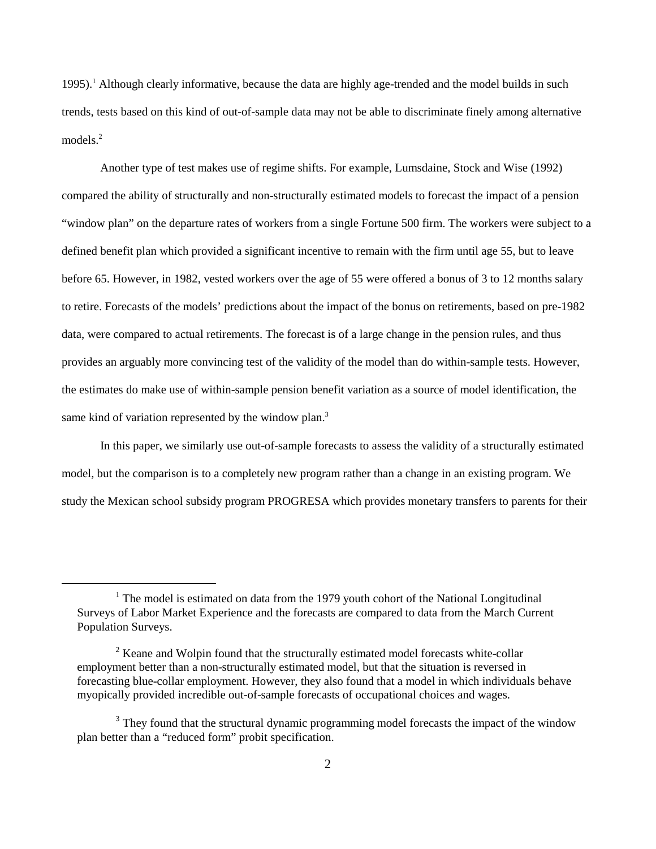1995). Although clearly informative, because the data are highly age-trended and the model builds in such <sup>1</sup> trends, tests based on this kind of out-of-sample data may not be able to discriminate finely among alternative models.<sup>2</sup>

Another type of test makes use of regime shifts. For example, Lumsdaine, Stock and Wise (1992) compared the ability of structurally and non-structurally estimated models to forecast the impact of a pension "window plan" on the departure rates of workers from a single Fortune 500 firm. The workers were subject to a defined benefit plan which provided a significant incentive to remain with the firm until age 55, but to leave before 65. However, in 1982, vested workers over the age of 55 were offered a bonus of 3 to 12 months salary to retire. Forecasts of the models' predictions about the impact of the bonus on retirements, based on pre-1982 data, were compared to actual retirements. The forecast is of a large change in the pension rules, and thus provides an arguably more convincing test of the validity of the model than do within-sample tests. However, the estimates do make use of within-sample pension benefit variation as a source of model identification, the same kind of variation represented by the window plan.<sup>3</sup>

In this paper, we similarly use out-of-sample forecasts to assess the validity of a structurally estimated model, but the comparison is to a completely new program rather than a change in an existing program. We study the Mexican school subsidy program PROGRESA which provides monetary transfers to parents for their

 $1$ <sup>1</sup> The model is estimated on data from the 1979 youth cohort of the National Longitudinal Surveys of Labor Market Experience and the forecasts are compared to data from the March Current Population Surveys.

 $\mu^2$  Keane and Wolpin found that the structurally estimated model forecasts white-collar employment better than a non-structurally estimated model, but that the situation is reversed in forecasting blue-collar employment. However, they also found that a model in which individuals behave myopically provided incredible out-of-sample forecasts of occupational choices and wages.

<sup>&</sup>lt;sup>3</sup> They found that the structural dynamic programming model forecasts the impact of the window plan better than a "reduced form" probit specification.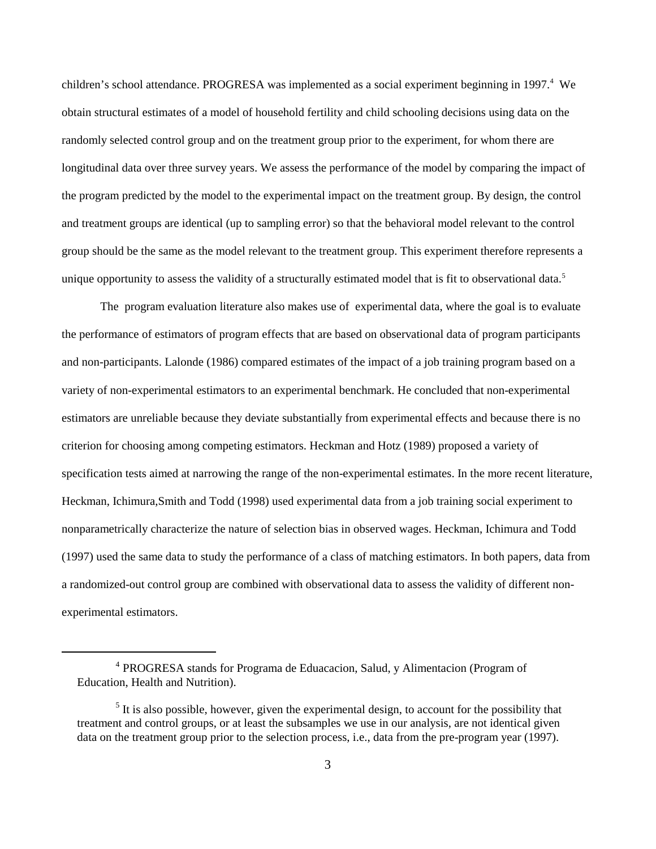children's school attendance. PROGRESA was implemented as a social experiment beginning in 1997.<sup>4</sup> We obtain structural estimates of a model of household fertility and child schooling decisions using data on the randomly selected control group and on the treatment group prior to the experiment, for whom there are longitudinal data over three survey years. We assess the performance of the model by comparing the impact of the program predicted by the model to the experimental impact on the treatment group. By design, the control and treatment groups are identical (up to sampling error) so that the behavioral model relevant to the control group should be the same as the model relevant to the treatment group. This experiment therefore represents a unique opportunity to assess the validity of a structurally estimated model that is fit to observational data.<sup>5</sup>

The program evaluation literature also makes use of experimental data, where the goal is to evaluate the performance of estimators of program effects that are based on observational data of program participants and non-participants. Lalonde (1986) compared estimates of the impact of a job training program based on a variety of non-experimental estimators to an experimental benchmark. He concluded that non-experimental estimators are unreliable because they deviate substantially from experimental effects and because there is no criterion for choosing among competing estimators. Heckman and Hotz (1989) proposed a variety of specification tests aimed at narrowing the range of the non-experimental estimates. In the more recent literature, Heckman, Ichimura,Smith and Todd (1998) used experimental data from a job training social experiment to nonparametrically characterize the nature of selection bias in observed wages. Heckman, Ichimura and Todd (1997) used the same data to study the performance of a class of matching estimators. In both papers, data from a randomized-out control group are combined with observational data to assess the validity of different nonexperimental estimators.

<sup>&</sup>lt;sup>4</sup> PROGRESA stands for Programa de Eduacacion, Salud, y Alimentacion (Program of Education, Health and Nutrition).

 $<sup>5</sup>$  It is also possible, however, given the experimental design, to account for the possibility that</sup> treatment and control groups, or at least the subsamples we use in our analysis, are not identical given data on the treatment group prior to the selection process, i.e., data from the pre-program year (1997).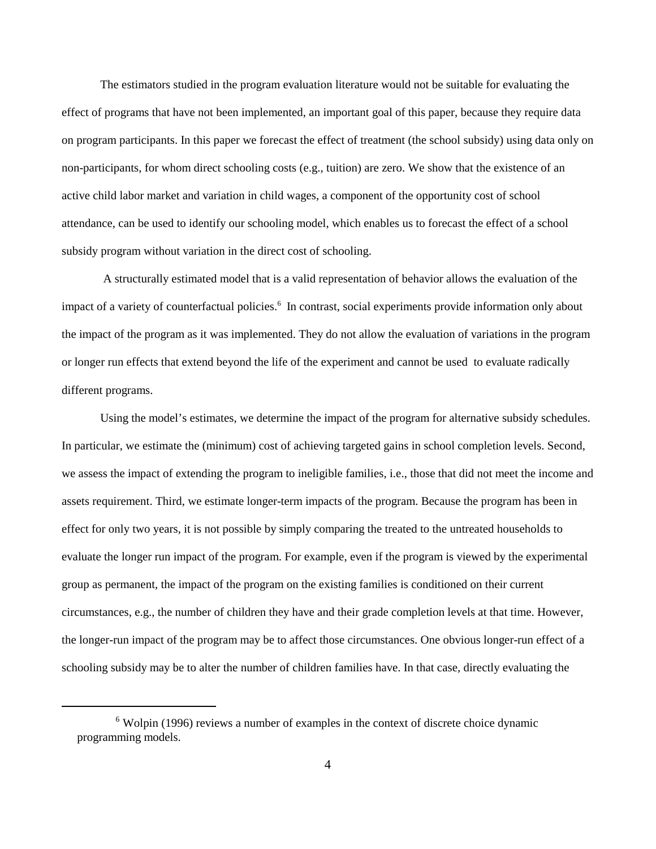The estimators studied in the program evaluation literature would not be suitable for evaluating the effect of programs that have not been implemented, an important goal of this paper, because they require data on program participants. In this paper we forecast the effect of treatment (the school subsidy) using data only on non-participants, for whom direct schooling costs (e.g., tuition) are zero. We show that the existence of an active child labor market and variation in child wages, a component of the opportunity cost of school attendance, can be used to identify our schooling model, which enables us to forecast the effect of a school subsidy program without variation in the direct cost of schooling.

 A structurally estimated model that is a valid representation of behavior allows the evaluation of the impact of a variety of counterfactual policies.<sup>6</sup> In contrast, social experiments provide information only about the impact of the program as it was implemented. They do not allow the evaluation of variations in the program or longer run effects that extend beyond the life of the experiment and cannot be used to evaluate radically different programs.

Using the model's estimates, we determine the impact of the program for alternative subsidy schedules. In particular, we estimate the (minimum) cost of achieving targeted gains in school completion levels. Second, we assess the impact of extending the program to ineligible families, i.e., those that did not meet the income and assets requirement. Third, we estimate longer-term impacts of the program. Because the program has been in effect for only two years, it is not possible by simply comparing the treated to the untreated households to evaluate the longer run impact of the program. For example, even if the program is viewed by the experimental group as permanent, the impact of the program on the existing families is conditioned on their current circumstances, e.g., the number of children they have and their grade completion levels at that time. However, the longer-run impact of the program may be to affect those circumstances. One obvious longer-run effect of a schooling subsidy may be to alter the number of children families have. In that case, directly evaluating the

 $6$  Wolpin (1996) reviews a number of examples in the context of discrete choice dynamic programming models.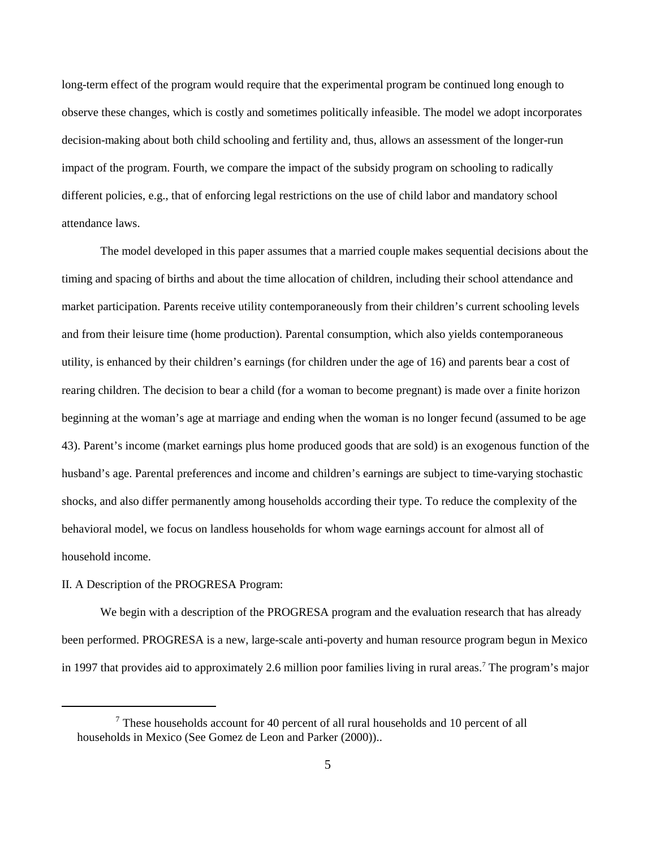long-term effect of the program would require that the experimental program be continued long enough to observe these changes, which is costly and sometimes politically infeasible. The model we adopt incorporates decision-making about both child schooling and fertility and, thus, allows an assessment of the longer-run impact of the program. Fourth, we compare the impact of the subsidy program on schooling to radically different policies, e.g., that of enforcing legal restrictions on the use of child labor and mandatory school attendance laws.

The model developed in this paper assumes that a married couple makes sequential decisions about the timing and spacing of births and about the time allocation of children, including their school attendance and market participation. Parents receive utility contemporaneously from their children's current schooling levels and from their leisure time (home production). Parental consumption, which also yields contemporaneous utility, is enhanced by their children's earnings (for children under the age of 16) and parents bear a cost of rearing children. The decision to bear a child (for a woman to become pregnant) is made over a finite horizon beginning at the woman's age at marriage and ending when the woman is no longer fecund (assumed to be age 43). Parent's income (market earnings plus home produced goods that are sold) is an exogenous function of the husband's age. Parental preferences and income and children's earnings are subject to time-varying stochastic shocks, and also differ permanently among households according their type. To reduce the complexity of the behavioral model, we focus on landless households for whom wage earnings account for almost all of household income.

### II. A Description of the PROGRESA Program:

We begin with a description of the PROGRESA program and the evaluation research that has already been performed. PROGRESA is a new, large-scale anti-poverty and human resource program begun in Mexico in 1997 that provides aid to approximately 2.6 million poor families living in rural areas.<sup>7</sup> The program's major

These households account for 40 percent of all rural households and 10 percent of all households in Mexico (See Gomez de Leon and Parker (2000))..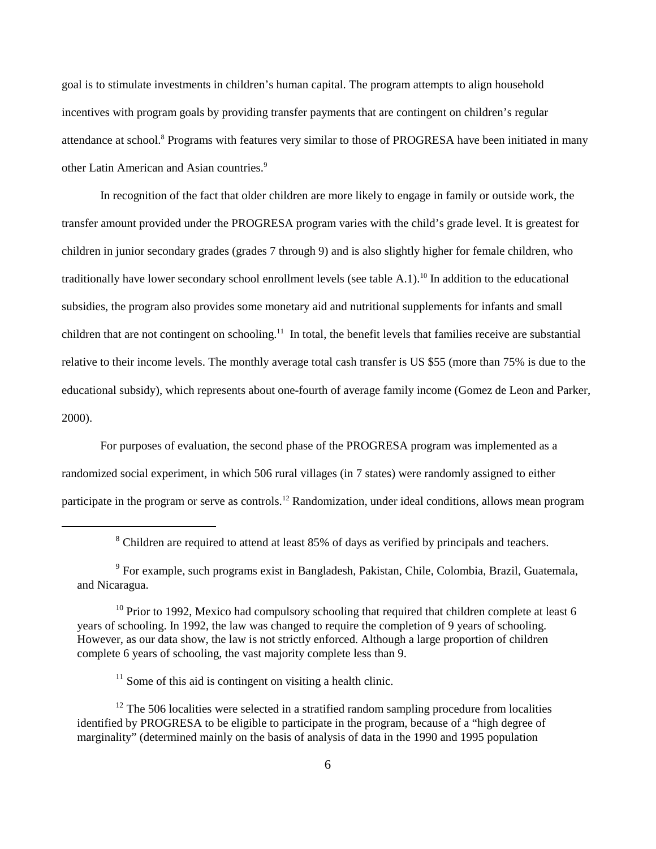goal is to stimulate investments in children's human capital. The program attempts to align household incentives with program goals by providing transfer payments that are contingent on children's regular attendance at school.<sup>8</sup> Programs with features very similar to those of PROGRESA have been initiated in many other Latin American and Asian countries. 9

In recognition of the fact that older children are more likely to engage in family or outside work, the transfer amount provided under the PROGRESA program varies with the child's grade level. It is greatest for children in junior secondary grades (grades 7 through 9) and is also slightly higher for female children, who traditionally have lower secondary school enrollment levels (see table A.1).<sup>10</sup> In addition to the educational subsidies, the program also provides some monetary aid and nutritional supplements for infants and small children that are not contingent on schooling.<sup>11</sup> In total, the benefit levels that families receive are substantial relative to their income levels. The monthly average total cash transfer is US \$55 (more than 75% is due to the educational subsidy), which represents about one-fourth of average family income (Gomez de Leon and Parker, 2000).

For purposes of evaluation, the second phase of the PROGRESA program was implemented as a randomized social experiment, in which 506 rural villages (in 7 states) were randomly assigned to either participate in the program or serve as controls.<sup>12</sup> Randomization, under ideal conditions, allows mean program

<sup>&</sup>lt;sup>8</sup> Children are required to attend at least 85% of days as verified by principals and teachers.

<sup>&</sup>lt;sup>9</sup> For example, such programs exist in Bangladesh, Pakistan, Chile, Colombia, Brazil, Guatemala, and Nicaragua.

 $10$  Prior to 1992, Mexico had compulsory schooling that required that children complete at least 6 years of schooling. In 1992, the law was changed to require the completion of 9 years of schooling. However, as our data show, the law is not strictly enforced. Although a large proportion of children complete 6 years of schooling, the vast majority complete less than 9.

 $11$  Some of this aid is contingent on visiting a health clinic.

 $12$  The 506 localities were selected in a stratified random sampling procedure from localities identified by PROGRESA to be eligible to participate in the program, because of a "high degree of marginality" (determined mainly on the basis of analysis of data in the 1990 and 1995 population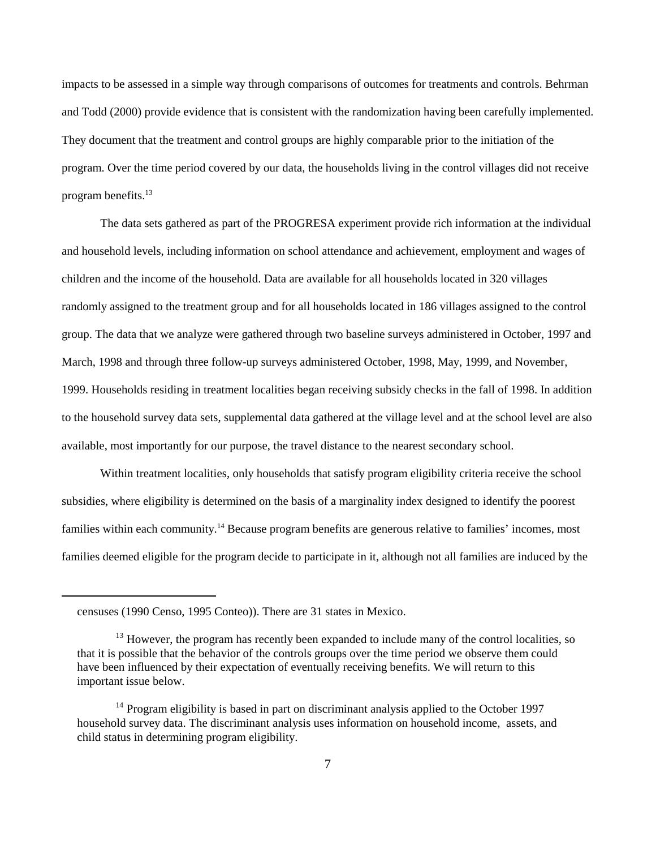impacts to be assessed in a simple way through comparisons of outcomes for treatments and controls. Behrman and Todd (2000) provide evidence that is consistent with the randomization having been carefully implemented. They document that the treatment and control groups are highly comparable prior to the initiation of the program. Over the time period covered by our data, the households living in the control villages did not receive program benefits.<sup>13</sup>

The data sets gathered as part of the PROGRESA experiment provide rich information at the individual and household levels, including information on school attendance and achievement, employment and wages of children and the income of the household. Data are available for all households located in 320 villages randomly assigned to the treatment group and for all households located in 186 villages assigned to the control group. The data that we analyze were gathered through two baseline surveys administered in October, 1997 and March, 1998 and through three follow-up surveys administered October, 1998, May, 1999, and November, 1999. Households residing in treatment localities began receiving subsidy checks in the fall of 1998. In addition to the household survey data sets, supplemental data gathered at the village level and at the school level are also available, most importantly for our purpose, the travel distance to the nearest secondary school.

Within treatment localities, only households that satisfy program eligibility criteria receive the school subsidies, where eligibility is determined on the basis of a marginality index designed to identify the poorest families within each community.<sup>14</sup> Because program benefits are generous relative to families' incomes, most families deemed eligible for the program decide to participate in it, although not all families are induced by the

censuses (1990 Censo, 1995 Conteo)). There are 31 states in Mexico.

 $^{13}$  However, the program has recently been expanded to include many of the control localities, so that it is possible that the behavior of the controls groups over the time period we observe them could have been influenced by their expectation of eventually receiving benefits. We will return to this important issue below.

 $14$  Program eligibility is based in part on discriminant analysis applied to the October 1997 household survey data. The discriminant analysis uses information on household income, assets, and child status in determining program eligibility.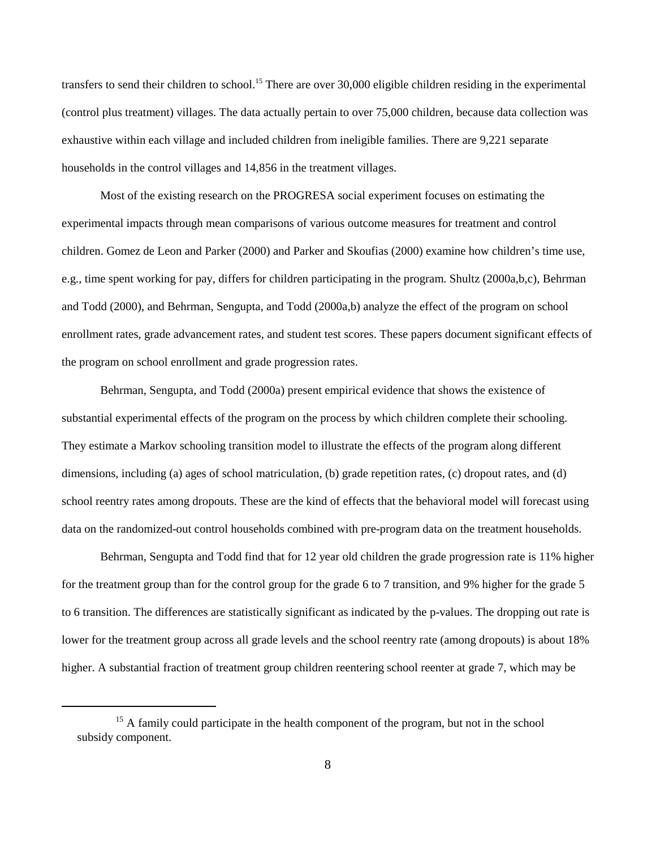transfers to send their children to school.<sup>15</sup> There are over 30,000 eligible children residing in the experimental (control plus treatment) villages. The data actually pertain to over 75,000 children, because data collection was exhaustive within each village and included children from ineligible families. There are 9,221 separate households in the control villages and 14,856 in the treatment villages.

Most of the existing research on the PROGRESA social experiment focuses on estimating the experimental impacts through mean comparisons of various outcome measures for treatment and control children. Gomez de Leon and Parker (2000) and Parker and Skoufias (2000) examine how children's time use, e.g., time spent working for pay, differs for children participating in the program. Shultz (2000a,b,c), Behrman and Todd (2000), and Behrman, Sengupta, and Todd (2000a,b) analyze the effect of the program on school enrollment rates, grade advancement rates, and student test scores. These papers document significant effects of the program on school enrollment and grade progression rates.

Behrman, Sengupta, and Todd (2000a) present empirical evidence that shows the existence of substantial experimental effects of the program on the process by which children complete their schooling. They estimate a Markov schooling transition model to illustrate the effects of the program along different dimensions, including (a) ages of school matriculation, (b) grade repetition rates, (c) dropout rates, and (d) school reentry rates among dropouts. These are the kind of effects that the behavioral model will forecast using data on the randomized-out control households combined with pre-program data on the treatment households.

Behrman, Sengupta and Todd find that for 12 year old children the grade progression rate is 11% higher for the treatment group than for the control group for the grade 6 to 7 transition, and 9% higher for the grade 5 to 6 transition. The differences are statistically significant as indicated by the p-values. The dropping out rate is lower for the treatment group across all grade levels and the school reentry rate (among dropouts) is about 18% higher. A substantial fraction of treatment group children reentering school reenter at grade 7, which may be

 $15$  A family could participate in the health component of the program, but not in the school subsidy component.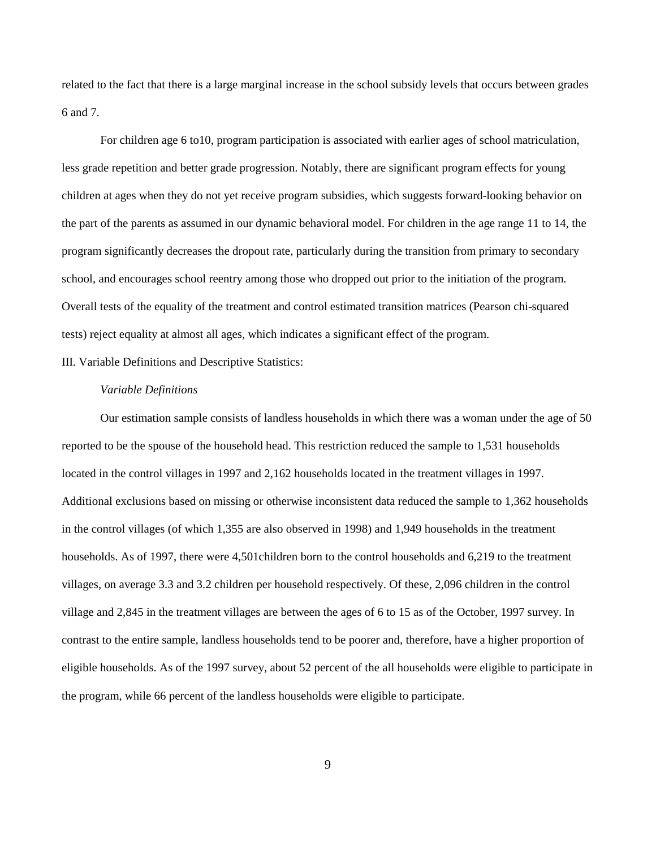related to the fact that there is a large marginal increase in the school subsidy levels that occurs between grades 6 and 7.

For children age 6 to10, program participation is associated with earlier ages of school matriculation, less grade repetition and better grade progression. Notably, there are significant program effects for young children at ages when they do not yet receive program subsidies, which suggests forward-looking behavior on the part of the parents as assumed in our dynamic behavioral model. For children in the age range 11 to 14, the program significantly decreases the dropout rate, particularly during the transition from primary to secondary school, and encourages school reentry among those who dropped out prior to the initiation of the program. Overall tests of the equality of the treatment and control estimated transition matrices (Pearson chi-squared tests) reject equality at almost all ages, which indicates a significant effect of the program.

III. Variable Definitions and Descriptive Statistics:

### *Variable Definitions*

Our estimation sample consists of landless households in which there was a woman under the age of 50 reported to be the spouse of the household head. This restriction reduced the sample to 1,531 households located in the control villages in 1997 and 2,162 households located in the treatment villages in 1997. Additional exclusions based on missing or otherwise inconsistent data reduced the sample to 1,362 households in the control villages (of which 1,355 are also observed in 1998) and 1,949 households in the treatment households. As of 1997, there were 4,501children born to the control households and 6,219 to the treatment villages, on average 3.3 and 3.2 children per household respectively. Of these, 2,096 children in the control village and 2,845 in the treatment villages are between the ages of 6 to 15 as of the October, 1997 survey. In contrast to the entire sample, landless households tend to be poorer and, therefore, have a higher proportion of eligible households. As of the 1997 survey, about 52 percent of the all households were eligible to participate in the program, while 66 percent of the landless households were eligible to participate.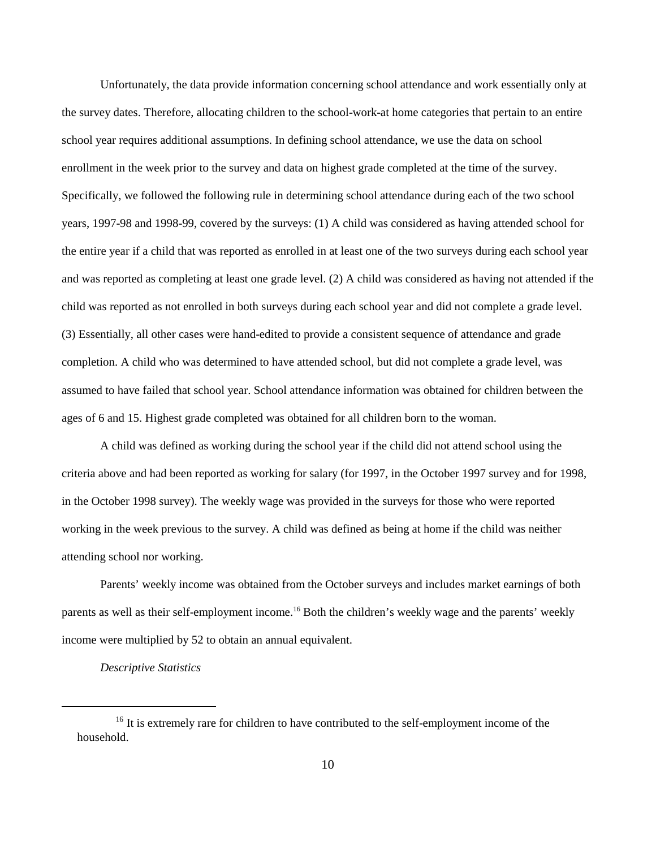Unfortunately, the data provide information concerning school attendance and work essentially only at the survey dates. Therefore, allocating children to the school-work-at home categories that pertain to an entire school year requires additional assumptions. In defining school attendance, we use the data on school enrollment in the week prior to the survey and data on highest grade completed at the time of the survey. Specifically, we followed the following rule in determining school attendance during each of the two school years, 1997-98 and 1998-99, covered by the surveys: (1) A child was considered as having attended school for the entire year if a child that was reported as enrolled in at least one of the two surveys during each school year and was reported as completing at least one grade level. (2) A child was considered as having not attended if the child was reported as not enrolled in both surveys during each school year and did not complete a grade level. (3) Essentially, all other cases were hand-edited to provide a consistent sequence of attendance and grade completion. A child who was determined to have attended school, but did not complete a grade level, was assumed to have failed that school year. School attendance information was obtained for children between the ages of 6 and 15. Highest grade completed was obtained for all children born to the woman.

A child was defined as working during the school year if the child did not attend school using the criteria above and had been reported as working for salary (for 1997, in the October 1997 survey and for 1998, in the October 1998 survey). The weekly wage was provided in the surveys for those who were reported working in the week previous to the survey. A child was defined as being at home if the child was neither attending school nor working.

Parents' weekly income was obtained from the October surveys and includes market earnings of both parents as well as their self-employment income.<sup>16</sup> Both the children's weekly wage and the parents' weekly income were multiplied by 52 to obtain an annual equivalent.

### *Descriptive Statistics*

 $16$  It is extremely rare for children to have contributed to the self-employment income of the household.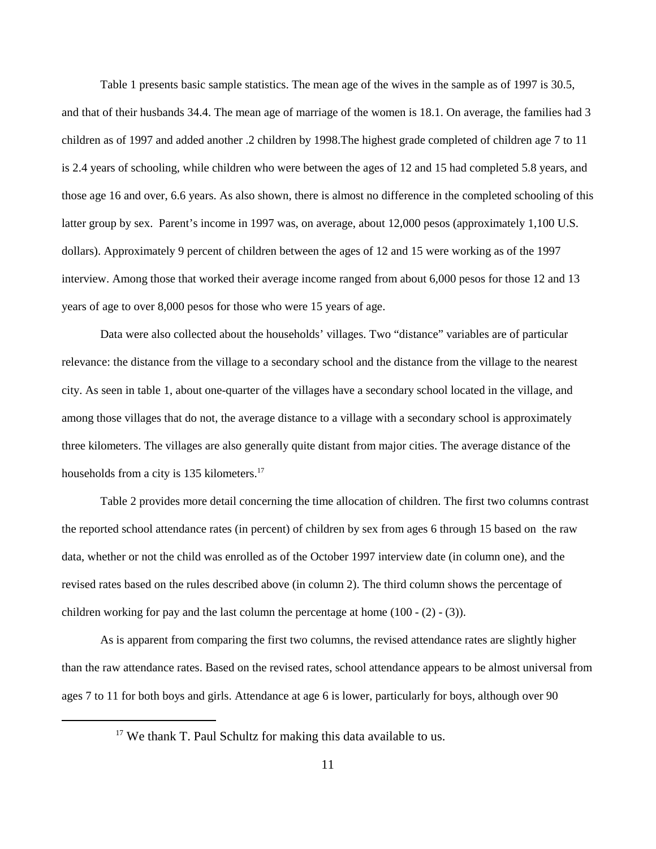Table 1 presents basic sample statistics. The mean age of the wives in the sample as of 1997 is 30.5, and that of their husbands 34.4. The mean age of marriage of the women is 18.1. On average, the families had 3 children as of 1997 and added another .2 children by 1998.The highest grade completed of children age 7 to 11 is 2.4 years of schooling, while children who were between the ages of 12 and 15 had completed 5.8 years, and those age 16 and over, 6.6 years. As also shown, there is almost no difference in the completed schooling of this latter group by sex. Parent's income in 1997 was, on average, about 12,000 pesos (approximately 1,100 U.S. dollars). Approximately 9 percent of children between the ages of 12 and 15 were working as of the 1997 interview. Among those that worked their average income ranged from about 6,000 pesos for those 12 and 13 years of age to over 8,000 pesos for those who were 15 years of age.

Data were also collected about the households' villages. Two "distance" variables are of particular relevance: the distance from the village to a secondary school and the distance from the village to the nearest city. As seen in table 1, about one-quarter of the villages have a secondary school located in the village, and among those villages that do not, the average distance to a village with a secondary school is approximately three kilometers. The villages are also generally quite distant from major cities. The average distance of the households from a city is 135 kilometers.<sup>17</sup>

Table 2 provides more detail concerning the time allocation of children. The first two columns contrast the reported school attendance rates (in percent) of children by sex from ages 6 through 15 based on the raw data, whether or not the child was enrolled as of the October 1997 interview date (in column one), and the revised rates based on the rules described above (in column 2). The third column shows the percentage of children working for pay and the last column the percentage at home (100 - (2) - (3)).

As is apparent from comparing the first two columns, the revised attendance rates are slightly higher than the raw attendance rates. Based on the revised rates, school attendance appears to be almost universal from ages 7 to 11 for both boys and girls. Attendance at age 6 is lower, particularly for boys, although over 90

 $17$  We thank T. Paul Schultz for making this data available to us.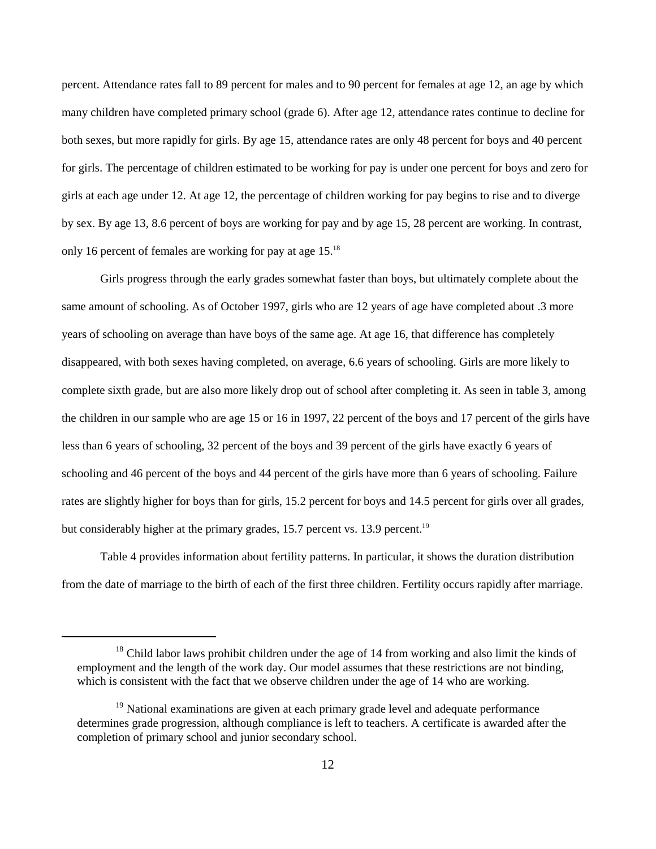percent. Attendance rates fall to 89 percent for males and to 90 percent for females at age 12, an age by which many children have completed primary school (grade 6). After age 12, attendance rates continue to decline for both sexes, but more rapidly for girls. By age 15, attendance rates are only 48 percent for boys and 40 percent for girls. The percentage of children estimated to be working for pay is under one percent for boys and zero for girls at each age under 12. At age 12, the percentage of children working for pay begins to rise and to diverge by sex. By age 13, 8.6 percent of boys are working for pay and by age 15, 28 percent are working. In contrast, only 16 percent of females are working for pay at age 15.18

Girls progress through the early grades somewhat faster than boys, but ultimately complete about the same amount of schooling. As of October 1997, girls who are 12 years of age have completed about .3 more years of schooling on average than have boys of the same age. At age 16, that difference has completely disappeared, with both sexes having completed, on average, 6.6 years of schooling. Girls are more likely to complete sixth grade, but are also more likely drop out of school after completing it. As seen in table 3, among the children in our sample who are age 15 or 16 in 1997, 22 percent of the boys and 17 percent of the girls have less than 6 years of schooling, 32 percent of the boys and 39 percent of the girls have exactly 6 years of schooling and 46 percent of the boys and 44 percent of the girls have more than 6 years of schooling. Failure rates are slightly higher for boys than for girls, 15.2 percent for boys and 14.5 percent for girls over all grades, but considerably higher at the primary grades, 15.7 percent vs. 13.9 percent.<sup>19</sup>

Table 4 provides information about fertility patterns. In particular, it shows the duration distribution from the date of marriage to the birth of each of the first three children. Fertility occurs rapidly after marriage.

 $^{18}$  Child labor laws prohibit children under the age of 14 from working and also limit the kinds of employment and the length of the work day. Our model assumes that these restrictions are not binding, which is consistent with the fact that we observe children under the age of 14 who are working.

 $19$  National examinations are given at each primary grade level and adequate performance determines grade progression, although compliance is left to teachers. A certificate is awarded after the completion of primary school and junior secondary school.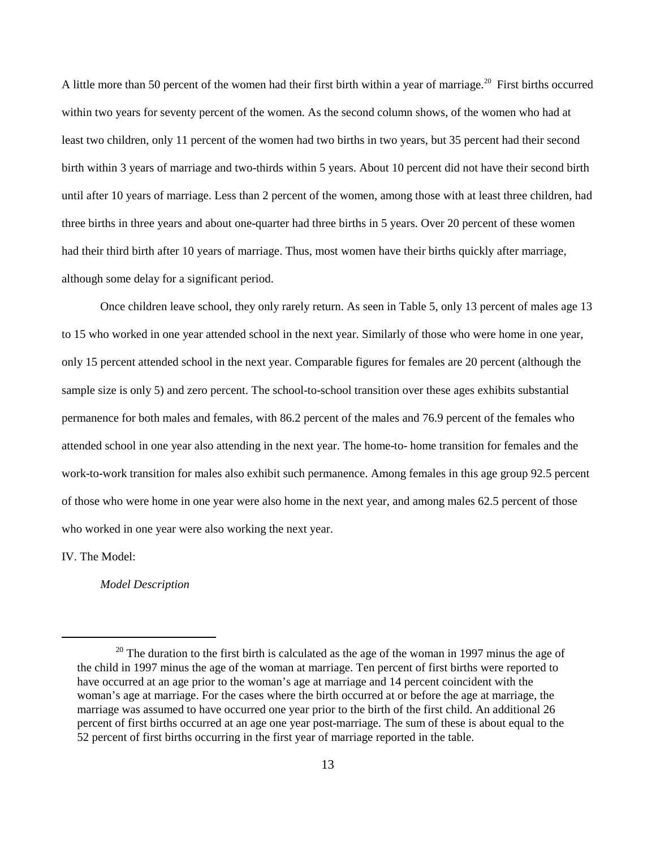A little more than 50 percent of the women had their first birth within a year of marriage.<sup>20</sup> First births occurred within two years for seventy percent of the women. As the second column shows, of the women who had at least two children, only 11 percent of the women had two births in two years, but 35 percent had their second birth within 3 years of marriage and two-thirds within 5 years. About 10 percent did not have their second birth until after 10 years of marriage. Less than 2 percent of the women, among those with at least three children, had three births in three years and about one-quarter had three births in 5 years. Over 20 percent of these women had their third birth after 10 years of marriage. Thus, most women have their births quickly after marriage, although some delay for a significant period.

Once children leave school, they only rarely return. As seen in Table 5, only 13 percent of males age 13 to 15 who worked in one year attended school in the next year. Similarly of those who were home in one year, only 15 percent attended school in the next year. Comparable figures for females are 20 percent (although the sample size is only 5) and zero percent. The school-to-school transition over these ages exhibits substantial permanence for both males and females, with 86.2 percent of the males and 76.9 percent of the females who attended school in one year also attending in the next year. The home-to- home transition for females and the work-to-work transition for males also exhibit such permanence. Among females in this age group 92.5 percent of those who were home in one year were also home in the next year, and among males 62.5 percent of those who worked in one year were also working the next year.

IV. The Model:

*Model Description*

 $20$  The duration to the first birth is calculated as the age of the woman in 1997 minus the age of the child in 1997 minus the age of the woman at marriage. Ten percent of first births were reported to have occurred at an age prior to the woman's age at marriage and 14 percent coincident with the woman's age at marriage. For the cases where the birth occurred at or before the age at marriage, the marriage was assumed to have occurred one year prior to the birth of the first child. An additional 26 percent of first births occurred at an age one year post-marriage. The sum of these is about equal to the 52 percent of first births occurring in the first year of marriage reported in the table.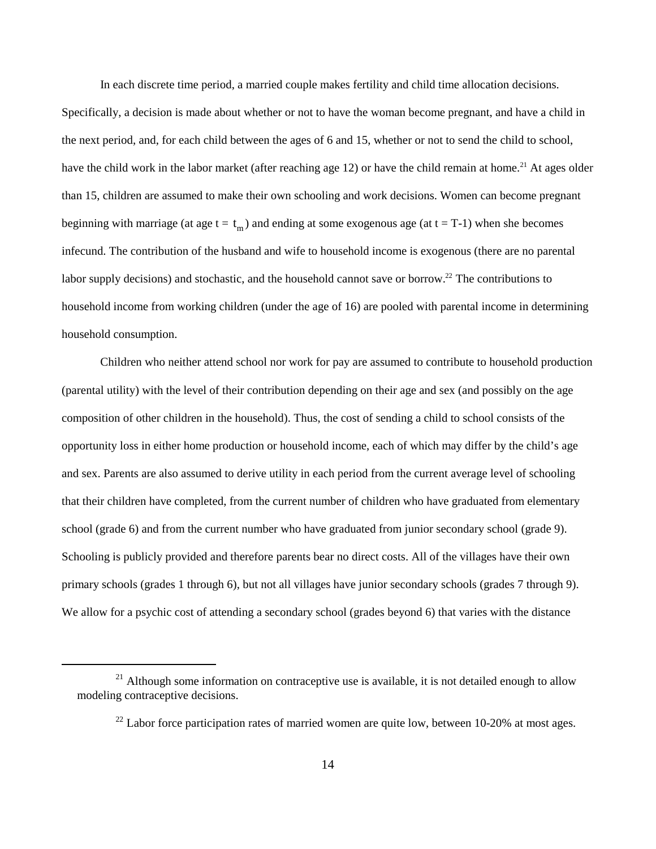beginning with marriage (at age  $t = t_m$ ) and ending at some exogenous age (at  $t = T-1$ ) when she becomes In each discrete time period, a married couple makes fertility and child time allocation decisions. Specifically, a decision is made about whether or not to have the woman become pregnant, and have a child in the next period, and, for each child between the ages of 6 and 15, whether or not to send the child to school, have the child work in the labor market (after reaching age 12) or have the child remain at home.<sup>21</sup> At ages older than 15, children are assumed to make their own schooling and work decisions. Women can become pregnant infecund. The contribution of the husband and wife to household income is exogenous (there are no parental labor supply decisions) and stochastic, and the household cannot save or borrow.<sup>22</sup> The contributions to household income from working children (under the age of 16) are pooled with parental income in determining household consumption.

Children who neither attend school nor work for pay are assumed to contribute to household production (parental utility) with the level of their contribution depending on their age and sex (and possibly on the age composition of other children in the household). Thus, the cost of sending a child to school consists of the opportunity loss in either home production or household income, each of which may differ by the child's age and sex. Parents are also assumed to derive utility in each period from the current average level of schooling that their children have completed, from the current number of children who have graduated from elementary school (grade 6) and from the current number who have graduated from junior secondary school (grade 9). Schooling is publicly provided and therefore parents bear no direct costs. All of the villages have their own primary schools (grades 1 through 6), but not all villages have junior secondary schools (grades 7 through 9). We allow for a psychic cost of attending a secondary school (grades beyond 6) that varies with the distance

 $21$  Although some information on contraceptive use is available, it is not detailed enough to allow modeling contraceptive decisions.

 $22$  Labor force participation rates of married women are quite low, between 10-20% at most ages.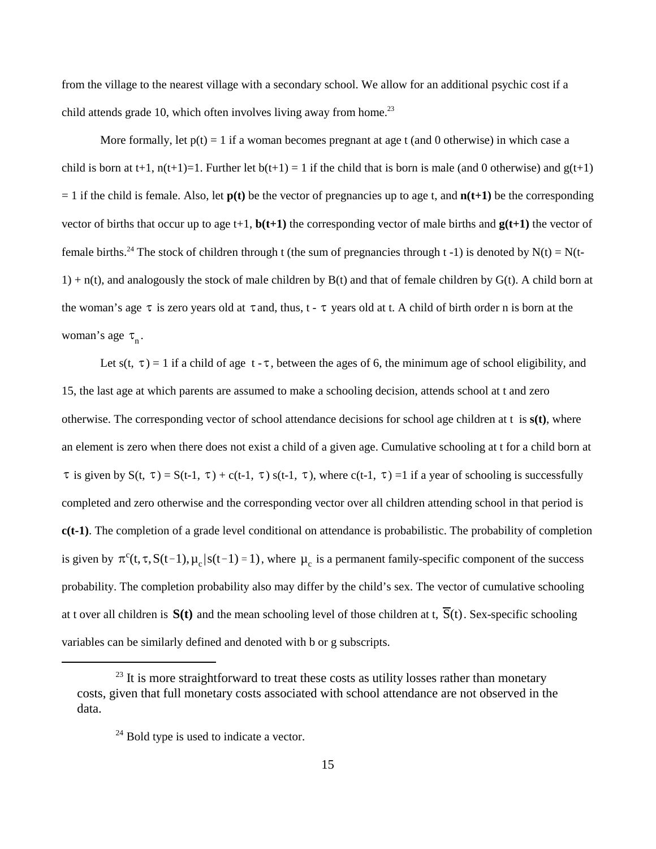from the village to the nearest village with a secondary school. We allow for an additional psychic cost if a child attends grade 10, which often involves living away from home.<sup>23</sup>

the woman's age  $\tau$  is zero years old at  $\tau$  and, thus,  $t - \tau$  years old at t. A child of birth order n is born at the woman's age  $\tau_n$ . More formally, let  $p(t) = 1$  if a woman becomes pregnant at age t (and 0 otherwise) in which case a child is born at t+1,  $n(t+1)=1$ . Further let  $b(t+1)=1$  if the child that is born is male (and 0 otherwise) and  $g(t+1)$  $= 1$  if the child is female. Also, let  $p(t)$  be the vector of pregnancies up to age t, and  $n(t+1)$  be the corresponding vector of births that occur up to age  $t+1$ ,  $\mathbf{b}(t+1)$  the corresponding vector of male births and  $\mathbf{g}(t+1)$  the vector of female births.<sup>24</sup> The stock of children through t (the sum of pregnancies through t -1) is denoted by N(t) = N(t- $1$ ) + n(t), and analogously the stock of male children by B(t) and that of female children by G(t). A child born at

Let s(t,  $\tau$ ) = 1 if a child of age t -  $\tau$ , between the ages of 6, the minimum age of school eligibility, and  $\tau$  is given by S(t,  $\tau$ ) = S(t-1,  $\tau$ ) + c(t-1,  $\tau$ ) s(t-1,  $\tau$ ), where c(t-1,  $\tau$ ) =1 if a year of schooling is successfully is given by  $\pi^c(t,\tau,S(t-1),\mu_c|s(t-1)=1)$ , where  $\mu_c$  is a permanent family-specific component of the success at t over all children is  $S(t)$  and the mean schooling level of those children at t,  $\overline{S}(t)$ . Sex-specific schooling 15, the last age at which parents are assumed to make a schooling decision, attends school at t and zero otherwise. The corresponding vector of school attendance decisions for school age children at t is **s(t)**, where an element is zero when there does not exist a child of a given age. Cumulative schooling at t for a child born at completed and zero otherwise and the corresponding vector over all children attending school in that period is **c(t-1)**. The completion of a grade level conditional on attendance is probabilistic. The probability of completion probability. The completion probability also may differ by the child's sex. The vector of cumulative schooling variables can be similarly defined and denoted with b or g subscripts.

 $^{23}$  It is more straightforward to treat these costs as utility losses rather than monetary costs, given that full monetary costs associated with school attendance are not observed in the data.

 $^{24}$  Bold type is used to indicate a vector.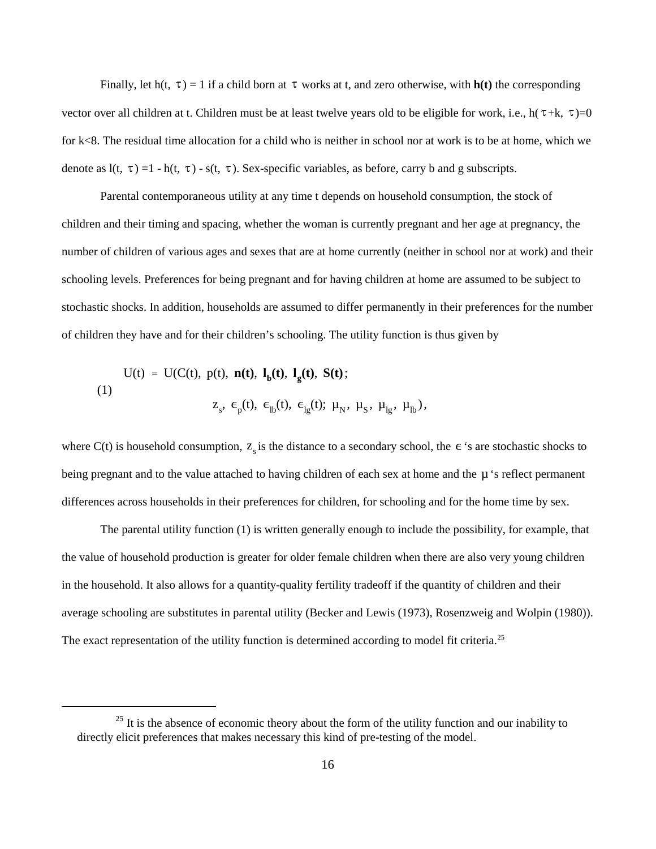Finally, let h(t,  $\tau$ ) = 1 if a child born at  $\tau$  works at t, and zero otherwise, with **h**(t) the corresponding vector over all children at t. Children must be at least twelve years old to be eligible for work, i.e.,  $h(\tau+k, \tau)=0$ denote as  $l(t, \tau) = 1 - h(t, \tau) - s(t, \tau)$ . Sex-specific variables, as before, carry b and g subscripts. for k<8. The residual time allocation for a child who is neither in school nor at work is to be at home, which we

Parental contemporaneous utility at any time t depends on household consumption, the stock of children and their timing and spacing, whether the woman is currently pregnant and her age at pregnancy, the number of children of various ages and sexes that are at home currently (neither in school nor at work) and their schooling levels. Preferences for being pregnant and for having children at home are assumed to be subject to stochastic shocks. In addition, households are assumed to differ permanently in their preferences for the number of children they have and for their children's schooling. The utility function is thus given by

$$
U(t) = U(C(t), p(t), n(t), lb(t), lg(t), S(t);
$$
  
(1)  

$$
zs, \epsilonp(t), \epsilonlb(t), \epsilonlg(t); \muN, \muS, \mulg, \mulb),
$$

where C(t) is household consumption,  $z_s$  is the distance to a secondary school, the  $\epsilon$  's are stochastic shocks to being pregnant and to the value attached to having children of each sex at home and the  $\mu$  's reflect permanent differences across households in their preferences for children, for schooling and for the home time by sex.

The parental utility function (1) is written generally enough to include the possibility, for example, that the value of household production is greater for older female children when there are also very young children in the household. It also allows for a quantity-quality fertility tradeoff if the quantity of children and their average schooling are substitutes in parental utility (Becker and Lewis (1973), Rosenzweig and Wolpin (1980)). The exact representation of the utility function is determined according to model fit criteria.<sup>25</sup>

 $^{25}$  It is the absence of economic theory about the form of the utility function and our inability to directly elicit preferences that makes necessary this kind of pre-testing of the model.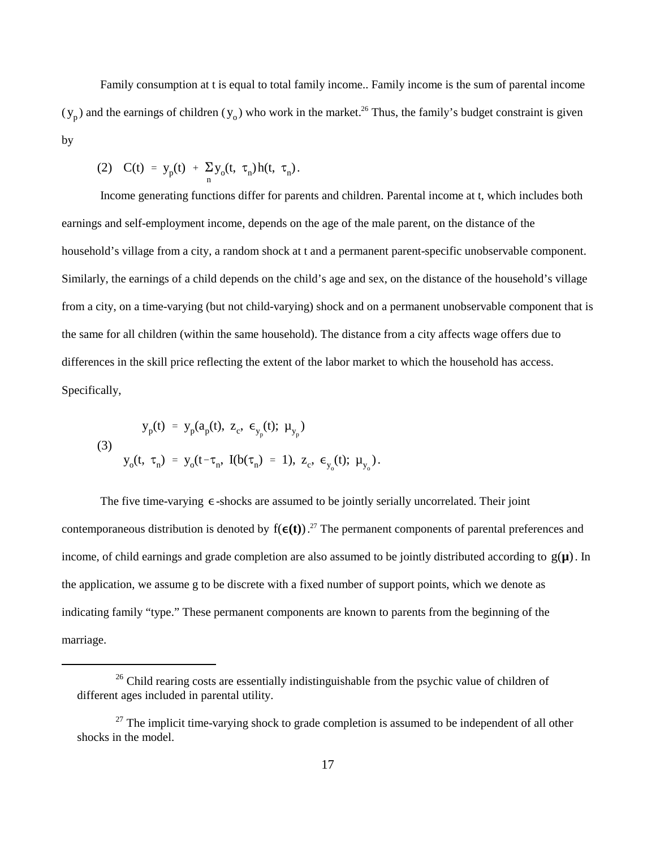$(y_p)$  and the earnings of children  $(y_o)$  who work in the market.<sup>26</sup> Thus, the family's budget constraint is given Family consumption at t is equal to total family income.. Family income is the sum of parental income by

(2) 
$$
C(t) = y_p(t) + \sum_{n} y_o(t, \tau_n) h(t, \tau_n)
$$
.

Income generating functions differ for parents and children. Parental income at t, which includes both earnings and self-employment income, depends on the age of the male parent, on the distance of the household's village from a city, a random shock at t and a permanent parent-specific unobservable component. Similarly, the earnings of a child depends on the child's age and sex, on the distance of the household's village from a city, on a time-varying (but not child-varying) shock and on a permanent unobservable component that is the same for all children (within the same household). The distance from a city affects wage offers due to differences in the skill price reflecting the extent of the labor market to which the household has access. Specifically,

(3)  
\n
$$
y_{p}(t) = y_{p}(a_{p}(t), z_{c}, \epsilon_{y_{p}}(t); \mu_{y_{p}})
$$
\n
$$
y_{o}(t, \tau_{n}) = y_{o}(t-\tau_{n}, I(b(\tau_{n}) = 1), z_{c}, \epsilon_{y_{o}}(t); \mu_{y_{o}}).
$$

The five time-varying  $\epsilon$ -shocks are assumed to be jointly serially uncorrelated. Their joint contemporaneous distribution is denoted by  $f(\epsilon(t))$ .<sup>27</sup> The permanent components of parental preferences and income, of child earnings and grade completion are also assumed to be jointly distributed according to  $g(\mu)$ . In the application, we assume g to be discrete with a fixed number of support points, which we denote as indicating family "type." These permanent components are known to parents from the beginning of the marriage.

 $26$  Child rearing costs are essentially indistinguishable from the psychic value of children of different ages included in parental utility.

 $27$  The implicit time-varying shock to grade completion is assumed to be independent of all other shocks in the model.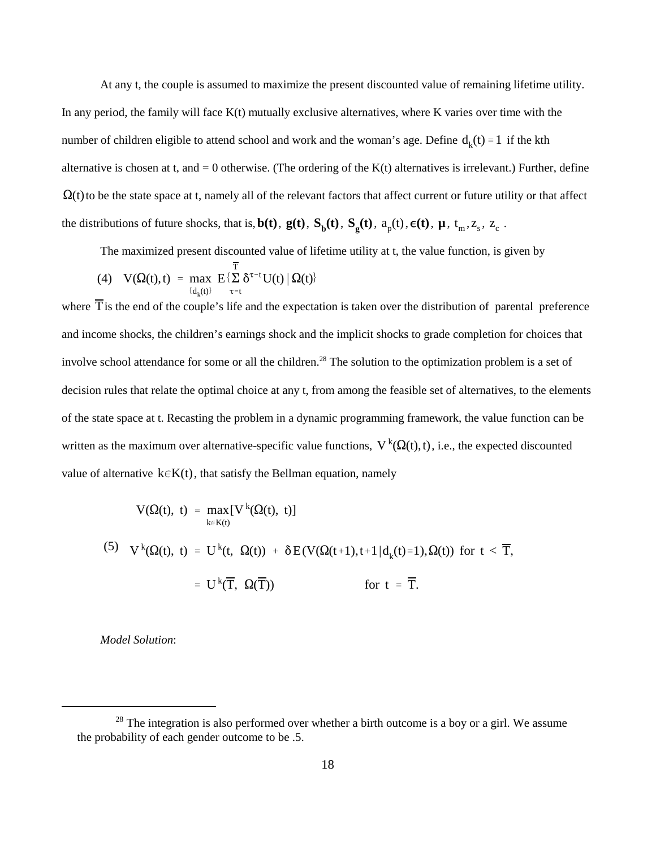number of children eligible to attend school and work and the woman's age. Define  $d_k(t) = 1$  if the kth  $\Omega$ (t) to be the state space at t, namely all of the relevant factors that affect current or future utility or that affect the distributions of future shocks, that is,  $b(t)$ ,  $g(t)$ ,  $S_b(t)$ ,  $S_g(t)$ ,  $a_p(t)$ ,  $\epsilon(t)$ ,  $\mu$ ,  $t_m$ ,  $z_s$ ,  $z_c$ . At any t, the couple is assumed to maximize the present discounted value of remaining lifetime utility. In any period, the family will face  $K(t)$  mutually exclusive alternatives, where K varies over time with the alternative is chosen at t, and  $= 0$  otherwise. (The ordering of the K(t) alternatives is irrelevant.) Further, define

The maximized present discounted value of lifetime utility at t, the value function, is given by

(4) 
$$
V(\Omega(t),t) = \max_{\{d_k(t)\}} E\left\{\sum_{\tau=t}^T \delta^{\tau-t} U(t) | \Omega(t) \right\}
$$

where T is the end of the couple's life and the expectation is taken over the distribution of parental preference written as the maximum over alternative-specific value functions,  $V^k(\Omega(t),t)$ , i.e., the expected discounted value of alternative  $k \in K(t)$ , that satisfy the Bellman equation, namely and income shocks, the children's earnings shock and the implicit shocks to grade completion for choices that involve school attendance for some or all the children.<sup>28</sup> The solution to the optimization problem is a set of decision rules that relate the optimal choice at any t, from among the feasible set of alternatives, to the elements of the state space at t. Recasting the problem in a dynamic programming framework, the value function can be

$$
V(\Omega(t), t) = \max_{k \in K(t)} [V^{k}(\Omega(t), t)]
$$
  
(5) 
$$
V^{k}(\Omega(t), t) = U^{k}(t, \Omega(t)) + \delta E(V(\Omega(t+1), t+1|d_{k}(t)=1), \Omega(t)) \text{ for } t < \overline{T},
$$

$$
= U^{k}(\overline{T}, \Omega(\overline{T})) \qquad \text{for } t = \overline{T}.
$$

*Model Solution*:

 $28$  The integration is also performed over whether a birth outcome is a boy or a girl. We assume the probability of each gender outcome to be .5.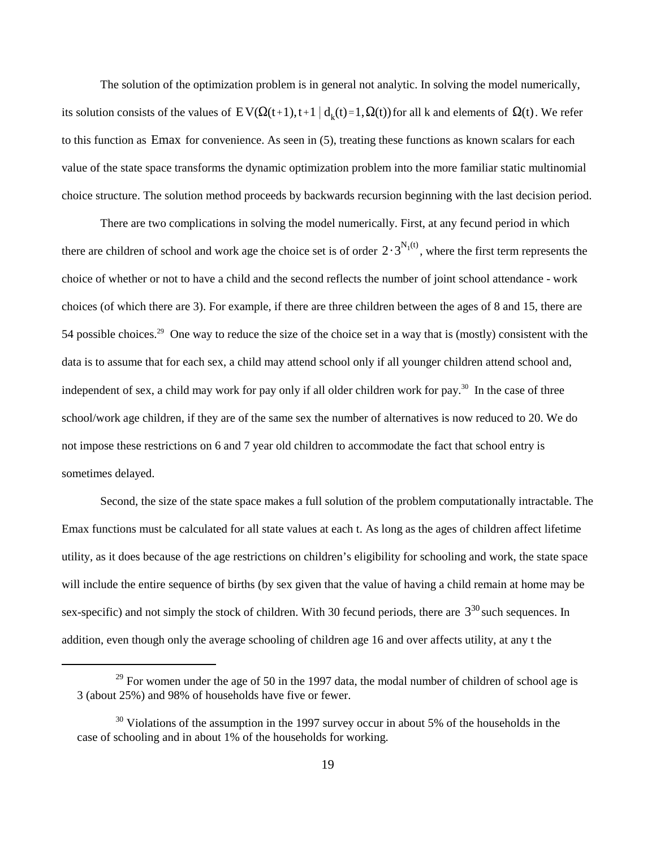its solution consists of the values of  $EV(\Omega(t+1),t+1 \mid d_k(t)=1,\Omega(t))$  for all k and elements of  $\Omega(t)$ . We refer to this function as Emax for convenience. As seen in (5), treating these functions as known scalars for each The solution of the optimization problem is in general not analytic. In solving the model numerically, value of the state space transforms the dynamic optimization problem into the more familiar static multinomial choice structure. The solution method proceeds by backwards recursion beginning with the last decision period.

there are children of school and work age the choice set is of order  $2 \cdot 3^{N_1(t)}$ , where the first term represents the There are two complications in solving the model numerically. First, at any fecund period in which choice of whether or not to have a child and the second reflects the number of joint school attendance - work choices (of which there are 3). For example, if there are three children between the ages of 8 and 15, there are 54 possible choices.<sup>29</sup> One way to reduce the size of the choice set in a way that is (mostly) consistent with the data is to assume that for each sex, a child may attend school only if all younger children attend school and, independent of sex, a child may work for pay only if all older children work for pay.<sup>30</sup> In the case of three school/work age children, if they are of the same sex the number of alternatives is now reduced to 20. We do not impose these restrictions on 6 and 7 year old children to accommodate the fact that school entry is sometimes delayed.

sex-specific) and not simply the stock of children. With 30 fecund periods, there are  $3^{30}$  such sequences. In Second, the size of the state space makes a full solution of the problem computationally intractable. The Emax functions must be calculated for all state values at each t. As long as the ages of children affect lifetime utility, as it does because of the age restrictions on children's eligibility for schooling and work, the state space will include the entire sequence of births (by sex given that the value of having a child remain at home may be addition, even though only the average schooling of children age 16 and over affects utility, at any t the

 $29$  For women under the age of 50 in the 1997 data, the modal number of children of school age is 3 (about 25%) and 98% of households have five or fewer.

 $\frac{30}{30}$  Violations of the assumption in the 1997 survey occur in about 5% of the households in the case of schooling and in about 1% of the households for working.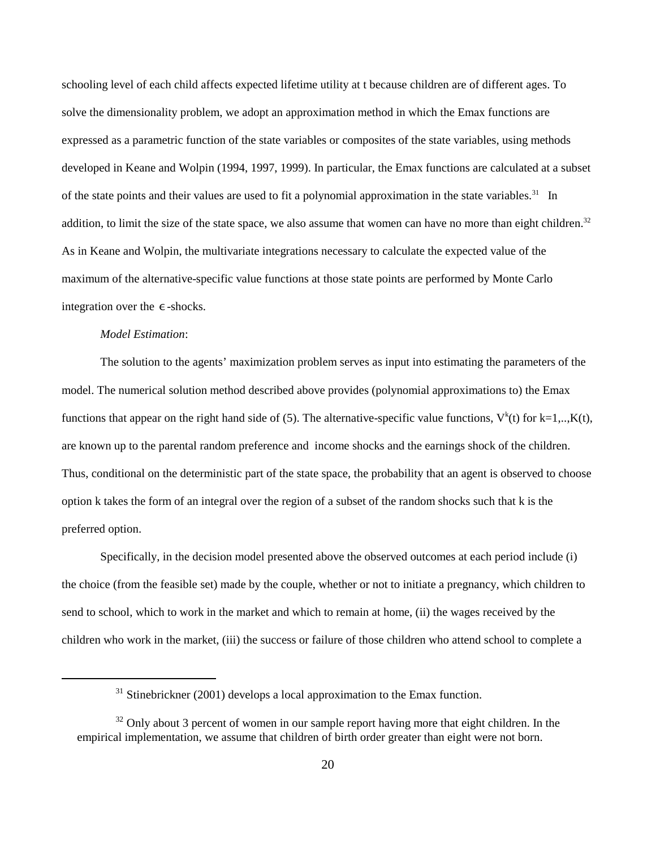integration over the  $\epsilon$ -shocks. schooling level of each child affects expected lifetime utility at t because children are of different ages. To solve the dimensionality problem, we adopt an approximation method in which the Emax functions are expressed as a parametric function of the state variables or composites of the state variables, using methods developed in Keane and Wolpin (1994, 1997, 1999). In particular, the Emax functions are calculated at a subset of the state points and their values are used to fit a polynomial approximation in the state variables.<sup>31</sup> In addition, to limit the size of the state space, we also assume that women can have no more than eight children. $32$ As in Keane and Wolpin, the multivariate integrations necessary to calculate the expected value of the maximum of the alternative-specific value functions at those state points are performed by Monte Carlo

### *Model Estimation*:

The solution to the agents' maximization problem serves as input into estimating the parameters of the model. The numerical solution method described above provides (polynomial approximations to) the Emax functions that appear on the right hand side of (5). The alternative-specific value functions,  $V^k(t)$  for k=1,.., $K(t)$ , are known up to the parental random preference and income shocks and the earnings shock of the children. Thus, conditional on the deterministic part of the state space, the probability that an agent is observed to choose option k takes the form of an integral over the region of a subset of the random shocks such that k is the preferred option.

Specifically, in the decision model presented above the observed outcomes at each period include (i) the choice (from the feasible set) made by the couple, whether or not to initiate a pregnancy, which children to send to school, which to work in the market and which to remain at home, (ii) the wages received by the children who work in the market, (iii) the success or failure of those children who attend school to complete a

 $31$  Stinebrickner (2001) develops a local approximation to the Emax function.

 $32$  Only about 3 percent of women in our sample report having more that eight children. In the empirical implementation, we assume that children of birth order greater than eight were not born.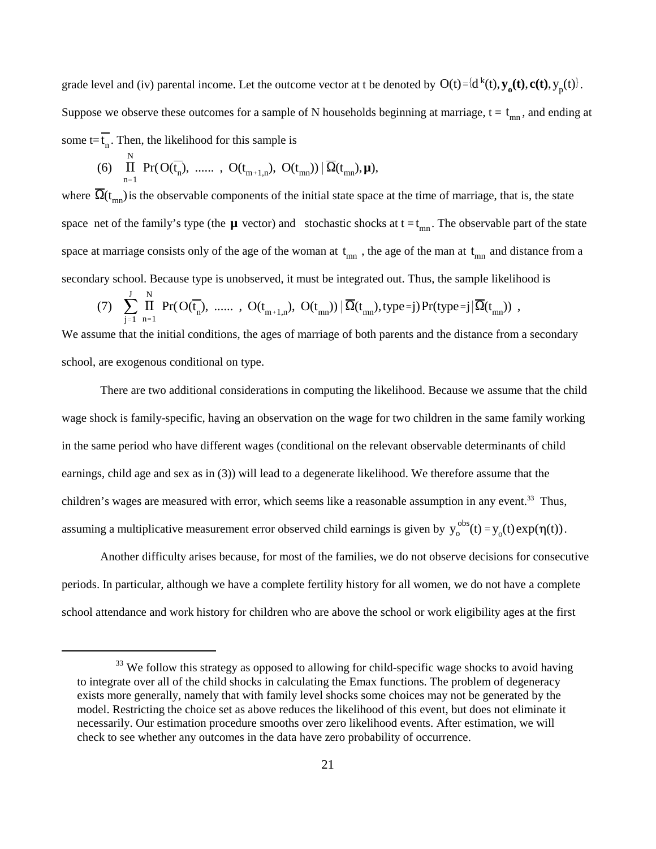grade level and (iv) parental income. Let the outcome vector at t be denoted by  $O(t) = {d^{k}(t), y_0(t), c(t), y_p(t)}$ . Suppose we observe these outcomes for a sample of N households beginning at marriage,  $t = t_{mn}$ , and ending at some  $t = t_n$ . Then, the likelihood for this sample is

(6) 
$$
\prod_{n=1}^{N} Pr(O(\overline{t_n}), \dots, O(t_{m+1,n}), O(t_{mn})) | \overline{\Omega}(t_{mn}), \mu),
$$

where  $\Omega(t_{mn})$  is the observable components of the initial state space at the time of marriage, that is, the state space net of the family's type (the  $\mu$  vector) and stochastic shocks at  $t = t_{mn}$ . The observable part of the state space at marriage consists only of the age of the woman at  $t_{mn}$ , the age of the man at  $t_{mn}$  and distance from a secondary school. Because type is unobserved, it must be integrated out. Thus, the sample likelihood is

(7) 
$$
\sum_{j=1}^{J} \prod_{n=1}^{N} Pr(O(\overline{t}_n), \dots, O(t_{m+1,n}), O(t_{mn})) | \overline{\Omega}(t_{mn}), type=j) Pr(type=j | \overline{\Omega}(t_{mn}))
$$
,

We assume that the initial conditions, the ages of marriage of both parents and the distance from a secondary school, are exogenous conditional on type.

assuming a multiplicative measurement error observed child earnings is given by  $y_0^{obs}(t) = y_0(t) \exp(\eta(t))$ . There are two additional considerations in computing the likelihood. Because we assume that the child wage shock is family-specific, having an observation on the wage for two children in the same family working in the same period who have different wages (conditional on the relevant observable determinants of child earnings, child age and sex as in (3)) will lead to a degenerate likelihood. We therefore assume that the children's wages are measured with error, which seems like a reasonable assumption in any event.<sup>33</sup> Thus,

Another difficulty arises because, for most of the families, we do not observe decisions for consecutive periods. In particular, although we have a complete fertility history for all women, we do not have a complete school attendance and work history for children who are above the school or work eligibility ages at the first

<sup>&</sup>lt;sup>33</sup> We follow this strategy as opposed to allowing for child-specific wage shocks to avoid having to integrate over all of the child shocks in calculating the Emax functions. The problem of degeneracy exists more generally, namely that with family level shocks some choices may not be generated by the model. Restricting the choice set as above reduces the likelihood of this event, but does not eliminate it necessarily. Our estimation procedure smooths over zero likelihood events. After estimation, we will check to see whether any outcomes in the data have zero probability of occurrence.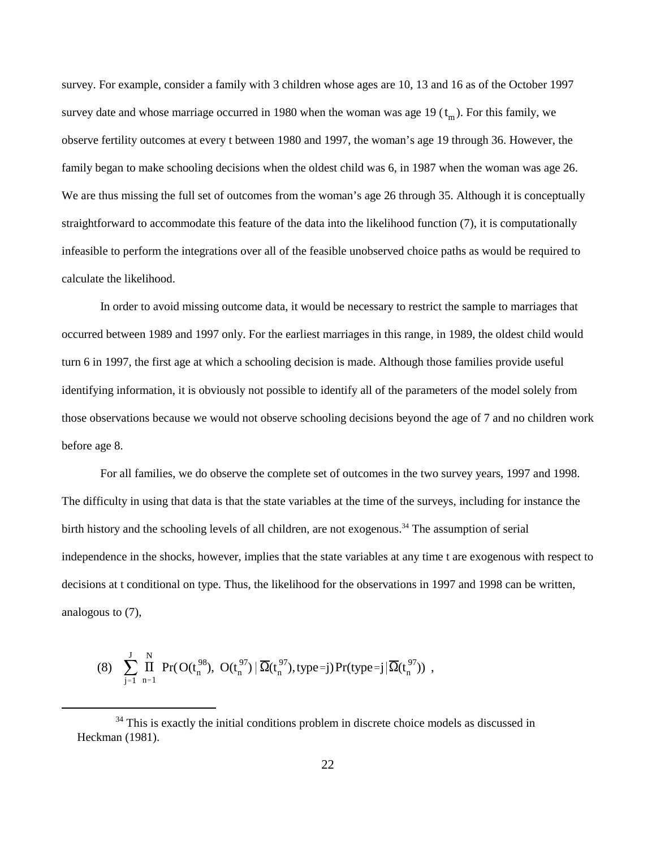survey date and whose marriage occurred in 1980 when the woman was age 19  $(t_m)$ . For this family, we survey. For example, consider a family with 3 children whose ages are 10, 13 and 16 as of the October 1997 observe fertility outcomes at every t between 1980 and 1997, the woman's age 19 through 36. However, the family began to make schooling decisions when the oldest child was 6, in 1987 when the woman was age 26. We are thus missing the full set of outcomes from the woman's age 26 through 35. Although it is conceptually straightforward to accommodate this feature of the data into the likelihood function (7), it is computationally infeasible to perform the integrations over all of the feasible unobserved choice paths as would be required to calculate the likelihood.

In order to avoid missing outcome data, it would be necessary to restrict the sample to marriages that occurred between 1989 and 1997 only. For the earliest marriages in this range, in 1989, the oldest child would turn 6 in 1997, the first age at which a schooling decision is made. Although those families provide useful identifying information, it is obviously not possible to identify all of the parameters of the model solely from those observations because we would not observe schooling decisions beyond the age of 7 and no children work before age 8.

For all families, we do observe the complete set of outcomes in the two survey years, 1997 and 1998. The difficulty in using that data is that the state variables at the time of the surveys, including for instance the birth history and the schooling levels of all children, are not exogenous.<sup>34</sup> The assumption of serial independence in the shocks, however, implies that the state variables at any time t are exogenous with respect to decisions at t conditional on type. Thus, the likelihood for the observations in 1997 and 1998 can be written, analogous to (7),

$$
(8)\quad \sum_{j=1}^J\,\prod_{n=1}^N\,\,Pr(\,O(t_n^{98}),\,\,O(t_n^{97})\,|\,\overline{\Omega}(t_n^{97}),type\,=j)\,Pr(type\,=j\,|\,\overline{\Omega}(t_n^{97}))\ \, ,
$$

 $34$  This is exactly the initial conditions problem in discrete choice models as discussed in Heckman (1981).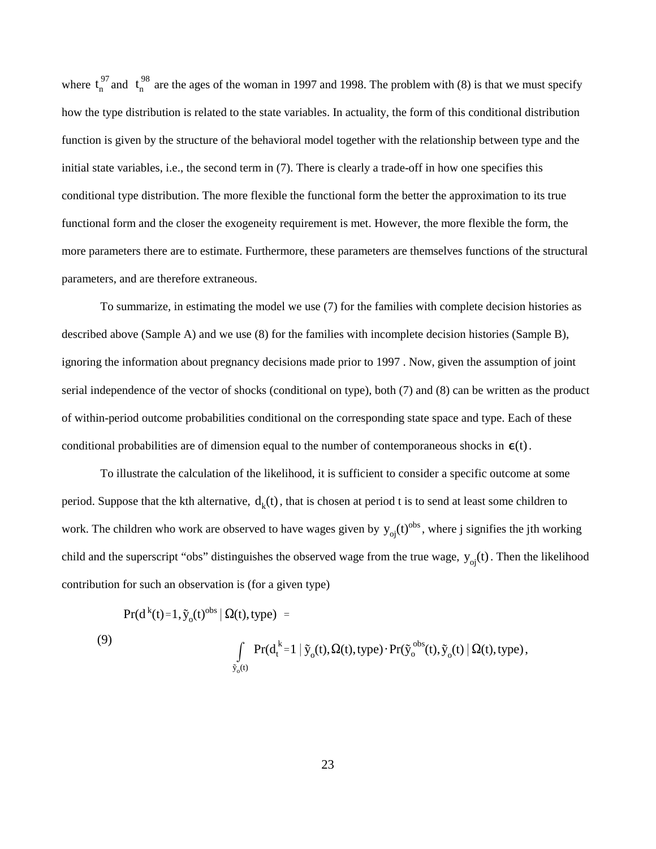$t_n^{97}$  and  $t_n^{98}$ where  $t_n^{37}$  and  $t_n^{36}$  are the ages of the woman in 1997 and 1998. The problem with (8) is that we must specify how the type distribution is related to the state variables. In actuality, the form of this conditional distribution function is given by the structure of the behavioral model together with the relationship between type and the initial state variables, i.e., the second term in (7). There is clearly a trade-off in how one specifies this conditional type distribution. The more flexible the functional form the better the approximation to its true functional form and the closer the exogeneity requirement is met. However, the more flexible the form, the more parameters there are to estimate. Furthermore, these parameters are themselves functions of the structural parameters, and are therefore extraneous.

conditional probabilities are of dimension equal to the number of contemporaneous shocks in  $\epsilon(t)$ . To summarize, in estimating the model we use (7) for the families with complete decision histories as described above (Sample A) and we use (8) for the families with incomplete decision histories (Sample B), ignoring the information about pregnancy decisions made prior to 1997 . Now, given the assumption of joint serial independence of the vector of shocks (conditional on type), both (7) and (8) can be written as the product of within-period outcome probabilities conditional on the corresponding state space and type. Each of these

period. Suppose that the kth alternative,  $d_k(t)$ , that is chosen at period t is to send at least some children to work. The children who work are observed to have wages given by  $y_{oj}(t)^{obs}$ , where j signifies the jth working child and the superscript "obs" distinguishes the observed wage from the true wage,  $y_{oj}(t)$ . Then the likelihood To illustrate the calculation of the likelihood, it is sufficient to consider a specific outcome at some contribution for such an observation is (for a given type)

$$
Pr(d^{k}(t)=1, \tilde{y}_{o}(t)^{obs} | \Omega(t), type) =
$$
\n(9)\n
$$
\int_{\tilde{y}_{o}(t)} Pr(d^{k}_{t}=1 | \tilde{y}_{o}(t), \Omega(t), type) \cdot Pr(\tilde{y}_{o}^{obs}(t), \tilde{y}_{o}(t) | \Omega(t), type),
$$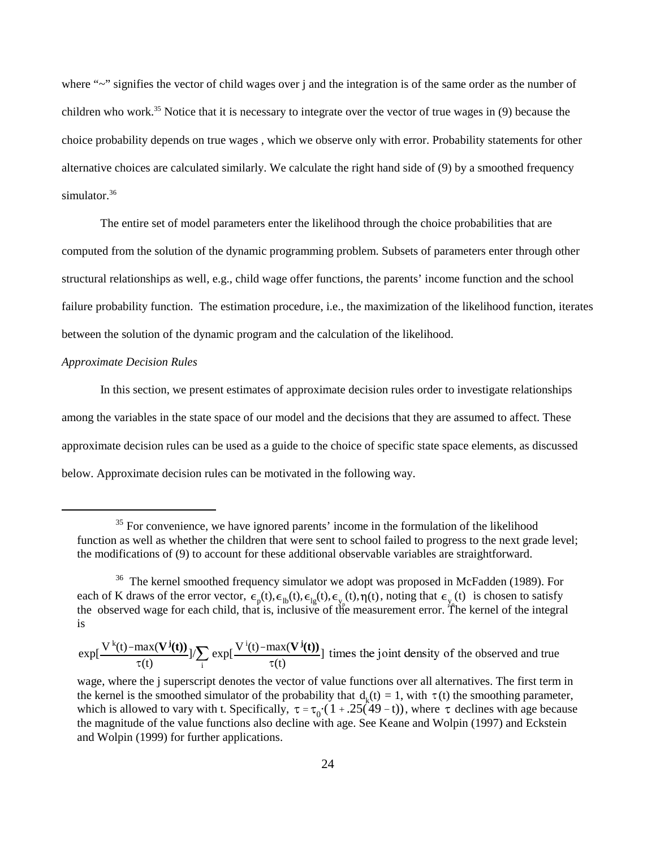where "~" signifies the vector of child wages over j and the integration is of the same order as the number of children who work.<sup>35</sup> Notice that it is necessary to integrate over the vector of true wages in (9) because the choice probability depends on true wages , which we observe only with error. Probability statements for other alternative choices are calculated similarly. We calculate the right hand side of (9) by a smoothed frequency simulator.<sup>36</sup>

The entire set of model parameters enter the likelihood through the choice probabilities that are computed from the solution of the dynamic programming problem. Subsets of parameters enter through other structural relationships as well, e.g., child wage offer functions, the parents' income function and the school failure probability function. The estimation procedure, i.e., the maximization of the likelihood function, iterates between the solution of the dynamic program and the calculation of the likelihood.

### *Approximate Decision Rules*

In this section, we present estimates of approximate decision rules order to investigate relationships among the variables in the state space of our model and the decisions that they are assumed to affect. These approximate decision rules can be used as a guide to the choice of specific state space elements, as discussed below. Approximate decision rules can be motivated in the following way.

 $35$  For convenience, we have ignored parents' income in the formulation of the likelihood function as well as whether the children that were sent to school failed to progress to the next grade level; the modifications of (9) to account for these additional observable variables are straightforward.

 $\epsilon_{\rm p}(t), \epsilon_{\rm lb}(t), \epsilon_{\rm lg}(t), \epsilon_{\rm yp}(t), \eta(t),$  noting that  $\epsilon_{\rm yq}(t)$ is well as whether the embeddent that we<br>ifications of (9) to account for these add<br><sup>36</sup> The kernel smoothed frequency simulk<br>K draws of the error vector,  $\epsilon_p(t)$ ,  $\epsilon_{lb}(t)$ ,<br>erved wage for each child, that is, inclus<br>(t) <sup>36</sup> The kernel smoothed frequency simulator we adopt was proposed in McFadden (1989). For each of K draws of the error vector,  $\epsilon_n(t), \epsilon_n(t), \epsilon_n(t), \epsilon_n(t), \eta(t)$ , noting that  $\epsilon_n(t)$  is chosen to satisfy the observed wage for each child, that is, inclusive of the measurement error. The kernel of the integral is

 $\exp[\frac{\mathbf{V}^{\mathbf{k}}(\mathbf{t}) - \max(\mathbf{V}^{\mathbf{j}}(\mathbf{t}))}{\tau(\mathbf{t})}] / \sum_{i}]$  $\exp[\frac{V^{i}(t)-\max(V^{j}(t))}{\tau(t)}]$  times the joint density of the observed and true

the kernel is the smoothed simulator of the probability that  $d_k(t) = 1$ , with  $\tau(t)$  the smoothing parameter, which is allowed to vary with t. Specifically,  $\tau = \tau_0 \cdot (1 + .25(49 - t))$ , where  $\tau$  declines with age because wage, where the j superscript denotes the vector of value functions over all alternatives. The first term in the magnitude of the value functions also decline with age. See Keane and Wolpin (1997) and Eckstein and Wolpin (1999) for further applications.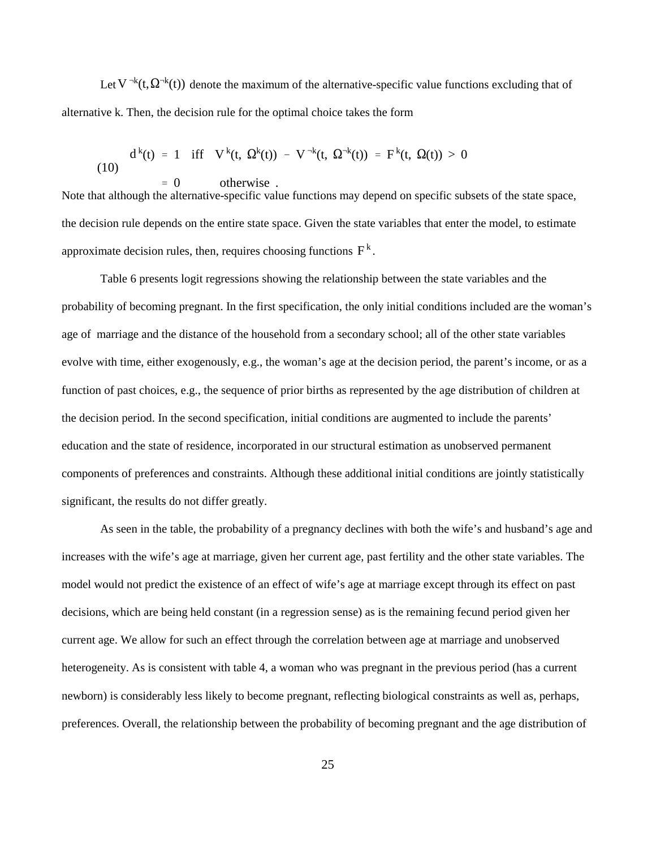Let  $V^{-k}(t, \Omega^{-k}(t))$  denote the maximum of the alternative-specific value functions excluding that of alternative k. Then, the decision rule for the optimal choice takes the form

(10) 
$$
d^{k}(t) = 1 \quad \text{iff} \quad V^{k}(t, \Omega^{k}(t)) - V^{-k}(t, \Omega^{-k}(t)) = F^{k}(t, \Omega(t)) > 0
$$

$$
= 0 \qquad \text{otherwise} .
$$

approximate decision rules, then, requires choosing functions  $F^k$ . Note that although the alternative-specific value functions may depend on specific subsets of the state space, the decision rule depends on the entire state space. Given the state variables that enter the model, to estimate

Table 6 presents logit regressions showing the relationship between the state variables and the probability of becoming pregnant. In the first specification, the only initial conditions included are the woman's age of marriage and the distance of the household from a secondary school; all of the other state variables evolve with time, either exogenously, e.g., the woman's age at the decision period, the parent's income, or as a function of past choices, e.g., the sequence of prior births as represented by the age distribution of children at the decision period. In the second specification, initial conditions are augmented to include the parents' education and the state of residence, incorporated in our structural estimation as unobserved permanent components of preferences and constraints. Although these additional initial conditions are jointly statistically significant, the results do not differ greatly.

As seen in the table, the probability of a pregnancy declines with both the wife's and husband's age and increases with the wife's age at marriage, given her current age, past fertility and the other state variables. The model would not predict the existence of an effect of wife's age at marriage except through its effect on past decisions, which are being held constant (in a regression sense) as is the remaining fecund period given her current age. We allow for such an effect through the correlation between age at marriage and unobserved heterogeneity. As is consistent with table 4, a woman who was pregnant in the previous period (has a current newborn) is considerably less likely to become pregnant, reflecting biological constraints as well as, perhaps, preferences. Overall, the relationship between the probability of becoming pregnant and the age distribution of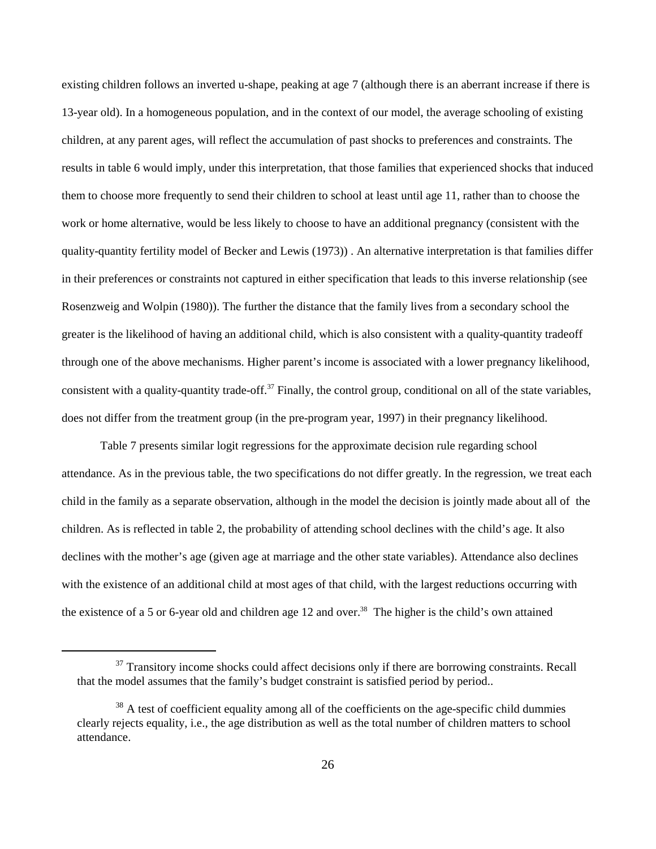existing children follows an inverted u-shape, peaking at age 7 (although there is an aberrant increase if there is 13-year old). In a homogeneous population, and in the context of our model, the average schooling of existing children, at any parent ages, will reflect the accumulation of past shocks to preferences and constraints. The results in table 6 would imply, under this interpretation, that those families that experienced shocks that induced them to choose more frequently to send their children to school at least until age 11, rather than to choose the work or home alternative, would be less likely to choose to have an additional pregnancy (consistent with the quality-quantity fertility model of Becker and Lewis (1973)) . An alternative interpretation is that families differ in their preferences or constraints not captured in either specification that leads to this inverse relationship (see Rosenzweig and Wolpin (1980)). The further the distance that the family lives from a secondary school the greater is the likelihood of having an additional child, which is also consistent with a quality-quantity tradeoff through one of the above mechanisms. Higher parent's income is associated with a lower pregnancy likelihood, consistent with a quality-quantity trade-off.<sup> $37$ </sup> Finally, the control group, conditional on all of the state variables, does not differ from the treatment group (in the pre-program year, 1997) in their pregnancy likelihood.

Table 7 presents similar logit regressions for the approximate decision rule regarding school attendance. As in the previous table, the two specifications do not differ greatly. In the regression, we treat each child in the family as a separate observation, although in the model the decision is jointly made about all of the children. As is reflected in table 2, the probability of attending school declines with the child's age. It also declines with the mother's age (given age at marriage and the other state variables). Attendance also declines with the existence of an additional child at most ages of that child, with the largest reductions occurring with the existence of a 5 or 6-year old and children age 12 and over.<sup>38</sup> The higher is the child's own attained

 $37$  Transitory income shocks could affect decisions only if there are borrowing constraints. Recall that the model assumes that the family's budget constraint is satisfied period by period..

 $38$  A test of coefficient equality among all of the coefficients on the age-specific child dummies clearly rejects equality, i.e., the age distribution as well as the total number of children matters to school attendance.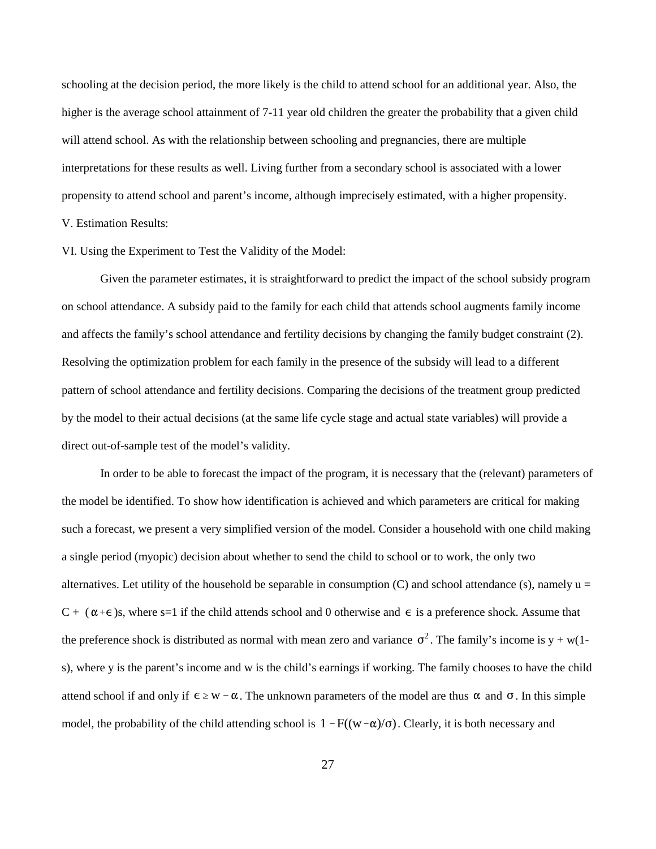schooling at the decision period, the more likely is the child to attend school for an additional year. Also, the higher is the average school attainment of 7-11 year old children the greater the probability that a given child will attend school. As with the relationship between schooling and pregnancies, there are multiple interpretations for these results as well. Living further from a secondary school is associated with a lower propensity to attend school and parent's income, although imprecisely estimated, with a higher propensity. V. Estimation Results:

### VI. Using the Experiment to Test the Validity of the Model:

Given the parameter estimates, it is straightforward to predict the impact of the school subsidy program on school attendance. A subsidy paid to the family for each child that attends school augments family income and affects the family's school attendance and fertility decisions by changing the family budget constraint (2). Resolving the optimization problem for each family in the presence of the subsidy will lead to a different pattern of school attendance and fertility decisions. Comparing the decisions of the treatment group predicted by the model to their actual decisions (at the same life cycle stage and actual state variables) will provide a direct out-of-sample test of the model's validity.

 $C + (\alpha + \epsilon)s$ , where s=1 if the child attends school and 0 otherwise and  $\epsilon$  is a preference shock. Assume that the preference shock is distributed as normal with mean zero and variance  $\sigma^2$ . The family's income is y + w(1attend school if and only if  $\epsilon \geq w - \alpha$ . The unknown parameters of the model are thus  $\alpha$  and  $\sigma$ . In this simple model, the probability of the child attending school is  $1 - F((w - \alpha)/\sigma)$ . Clearly, it is both necessary and In order to be able to forecast the impact of the program, it is necessary that the (relevant) parameters of the model be identified. To show how identification is achieved and which parameters are critical for making such a forecast, we present a very simplified version of the model. Consider a household with one child making a single period (myopic) decision about whether to send the child to school or to work, the only two alternatives. Let utility of the household be separable in consumption  $(C)$  and school attendance (s), namely  $u =$ s), where y is the parent's income and w is the child's earnings if working. The family chooses to have the child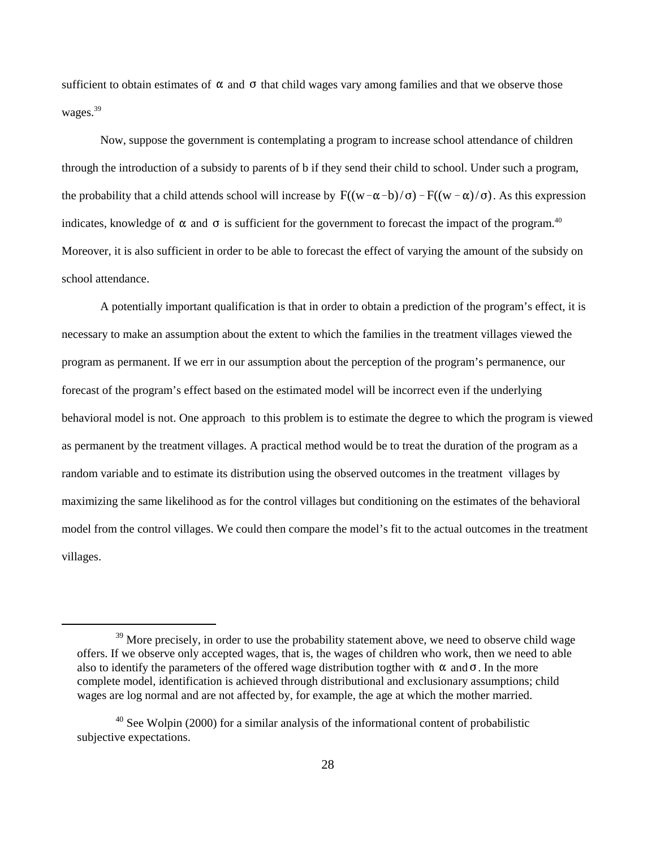sufficient to obtain estimates of  $\alpha$  and  $\sigma$  that child wages vary among families and that we observe those wages.<sup>39</sup>

the probability that a child attends school will increase by  $F((w-\alpha-b)/\sigma) - F((w-\alpha)/\sigma)$ . As this expression indicates, knowledge of  $\alpha$  and  $\sigma$  is sufficient for the government to forecast the impact of the program.<sup>40</sup> Now, suppose the government is contemplating a program to increase school attendance of children through the introduction of a subsidy to parents of b if they send their child to school. Under such a program, Moreover, it is also sufficient in order to be able to forecast the effect of varying the amount of the subsidy on school attendance.

 A potentially important qualification is that in order to obtain a prediction of the program's effect, it is necessary to make an assumption about the extent to which the families in the treatment villages viewed the program as permanent. If we err in our assumption about the perception of the program's permanence, our forecast of the program's effect based on the estimated model will be incorrect even if the underlying behavioral model is not. One approach to this problem is to estimate the degree to which the program is viewed as permanent by the treatment villages. A practical method would be to treat the duration of the program as a random variable and to estimate its distribution using the observed outcomes in the treatment villages by maximizing the same likelihood as for the control villages but conditioning on the estimates of the behavioral model from the control villages. We could then compare the model's fit to the actual outcomes in the treatment villages.

also to identify the parameters of the offered wage distribution togther with  $\alpha$  and  $\sigma$ . In the more  $39$  More precisely, in order to use the probability statement above, we need to observe child wage offers. If we observe only accepted wages, that is, the wages of children who work, then we need to able complete model, identification is achieved through distributional and exclusionary assumptions; child wages are log normal and are not affected by, for example, the age at which the mother married.

<sup>&</sup>lt;sup>40</sup> See Wolpin (2000) for a similar analysis of the informational content of probabilistic subjective expectations.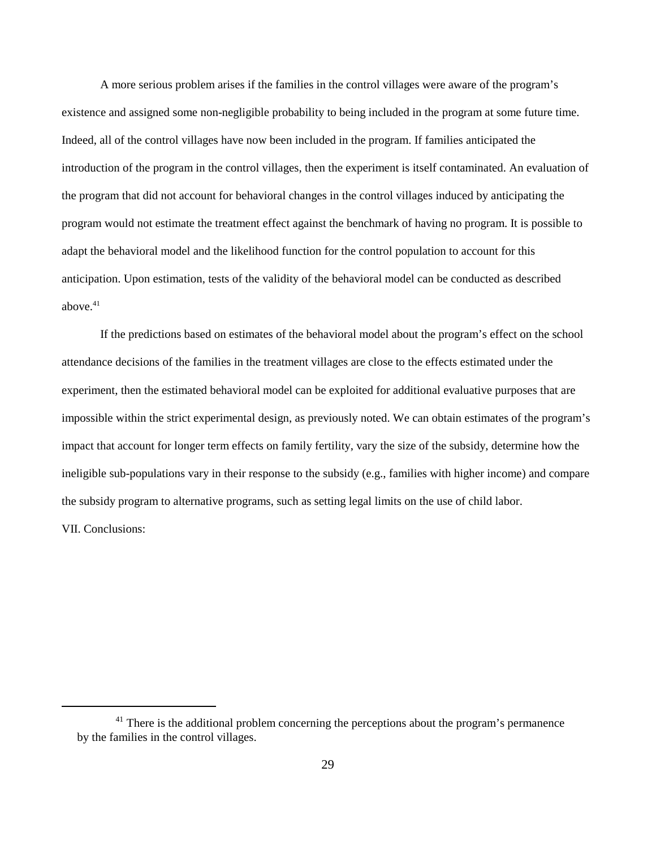A more serious problem arises if the families in the control villages were aware of the program's existence and assigned some non-negligible probability to being included in the program at some future time. Indeed, all of the control villages have now been included in the program. If families anticipated the introduction of the program in the control villages, then the experiment is itself contaminated. An evaluation of the program that did not account for behavioral changes in the control villages induced by anticipating the program would not estimate the treatment effect against the benchmark of having no program. It is possible to adapt the behavioral model and the likelihood function for the control population to account for this anticipation. Upon estimation, tests of the validity of the behavioral model can be conducted as described above. $41$ 

If the predictions based on estimates of the behavioral model about the program's effect on the school attendance decisions of the families in the treatment villages are close to the effects estimated under the experiment, then the estimated behavioral model can be exploited for additional evaluative purposes that are impossible within the strict experimental design, as previously noted. We can obtain estimates of the program's impact that account for longer term effects on family fertility, vary the size of the subsidy, determine how the ineligible sub-populations vary in their response to the subsidy (e.g., families with higher income) and compare the subsidy program to alternative programs, such as setting legal limits on the use of child labor. VII. Conclusions:

 $41$  There is the additional problem concerning the perceptions about the program's permanence by the families in the control villages.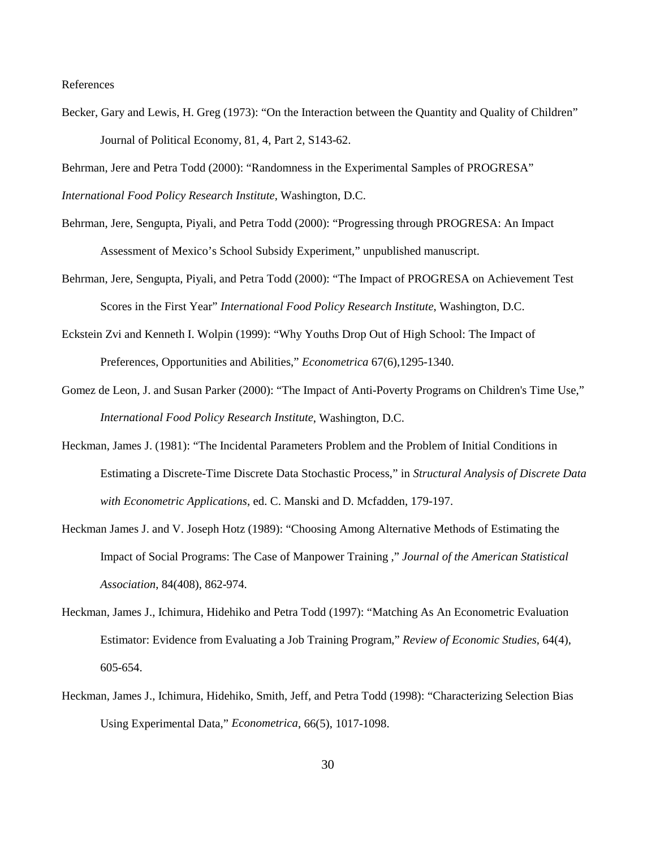References

Becker, Gary and Lewis, H. Greg (1973): "On the Interaction between the Quantity and Quality of Children" Journal of Political Economy, 81, 4, Part 2, S143-62.

Behrman, Jere and Petra Todd (2000): "Randomness in the Experimental Samples of PROGRESA" *International Food Policy Research Institute*, Washington, D.C.

- Behrman, Jere, Sengupta, Piyali, and Petra Todd (2000): "Progressing through PROGRESA: An Impact Assessment of Mexico's School Subsidy Experiment," unpublished manuscript.
- Behrman, Jere, Sengupta, Piyali, and Petra Todd (2000): "The Impact of PROGRESA on Achievement Test Scores in the First Year" *International Food Policy Research Institute*, Washington, D.C.
- Eckstein Zvi and Kenneth I. Wolpin (1999): "Why Youths Drop Out of High School: The Impact of Preferences, Opportunities and Abilities," *Econometrica* 67(6),1295-1340.
- Gomez de Leon, J. and Susan Parker (2000): "The Impact of Anti-Poverty Programs on Children's Time Use," *International Food Policy Research Institute*, Washington, D.C.
- Heckman, James J. (1981): "The Incidental Parameters Problem and the Problem of Initial Conditions in Estimating a Discrete-Time Discrete Data Stochastic Process," in *Structural Analysis of Discrete Data with Econometric Applications*, ed. C. Manski and D. Mcfadden, 179-197.
- Heckman James J. and V. Joseph Hotz (1989): "Choosing Among Alternative Methods of Estimating the Impact of Social Programs: The Case of Manpower Training ," *Journal of the American Statistical Association*, 84(408), 862-974.
- Heckman, James J., Ichimura, Hidehiko and Petra Todd (1997): "Matching As An Econometric Evaluation Estimator: Evidence from Evaluating a Job Training Program," *Review of Economic Studies*, 64(4), 605-654.
- Heckman, James J., Ichimura, Hidehiko, Smith, Jeff, and Petra Todd (1998): "Characterizing Selection Bias Using Experimental Data," *Econometrica*, 66(5), 1017-1098.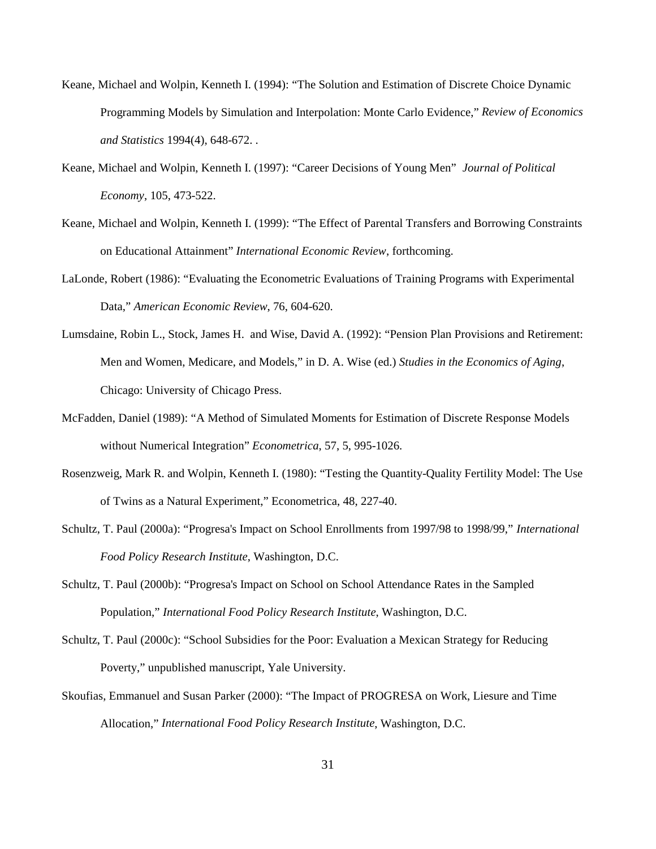- Keane, Michael and Wolpin, Kenneth I. (1994): "The Solution and Estimation of Discrete Choice Dynamic Programming Models by Simulation and Interpolation: Monte Carlo Evidence," *Review of Economics and Statistics* 1994(4), 648-672. .
- Keane, Michael and Wolpin, Kenneth I. (1997): "Career Decisions of Young Men" *Journal of Political Economy*, 105, 473-522.
- Keane, Michael and Wolpin, Kenneth I. (1999): "The Effect of Parental Transfers and Borrowing Constraints on Educational Attainment" *International Economic Review*, forthcoming.
- LaLonde, Robert (1986): "Evaluating the Econometric Evaluations of Training Programs with Experimental Data," *American Economic Review*, 76, 604-620.
- Lumsdaine, Robin L., Stock, James H. and Wise, David A. (1992): "Pension Plan Provisions and Retirement: Men and Women, Medicare, and Models," in D. A. Wise (ed.) *Studies in the Economics of Aging*, Chicago: University of Chicago Press.
- McFadden, Daniel (1989): "A Method of Simulated Moments for Estimation of Discrete Response Models without Numerical Integration" *Econometrica*, 57, 5, 995-1026.
- Rosenzweig, Mark R. and Wolpin, Kenneth I. (1980): "Testing the Quantity-Quality Fertility Model: The Use of Twins as a Natural Experiment," Econometrica, 48, 227-40.
- Schultz, T. Paul (2000a): "Progresa's Impact on School Enrollments from 1997/98 to 1998/99," *International Food Policy Research Institute*, Washington, D.C.
- Schultz, T. Paul (2000b): "Progresa's Impact on School on School Attendance Rates in the Sampled Population," *International Food Policy Research Institute*, Washington, D.C.
- Schultz, T. Paul (2000c): "School Subsidies for the Poor: Evaluation a Mexican Strategy for Reducing Poverty," unpublished manuscript, Yale University.
- Skoufias, Emmanuel and Susan Parker (2000): "The Impact of PROGRESA on Work, Liesure and Time Allocation," *International Food Policy Research Institute*, Washington, D.C.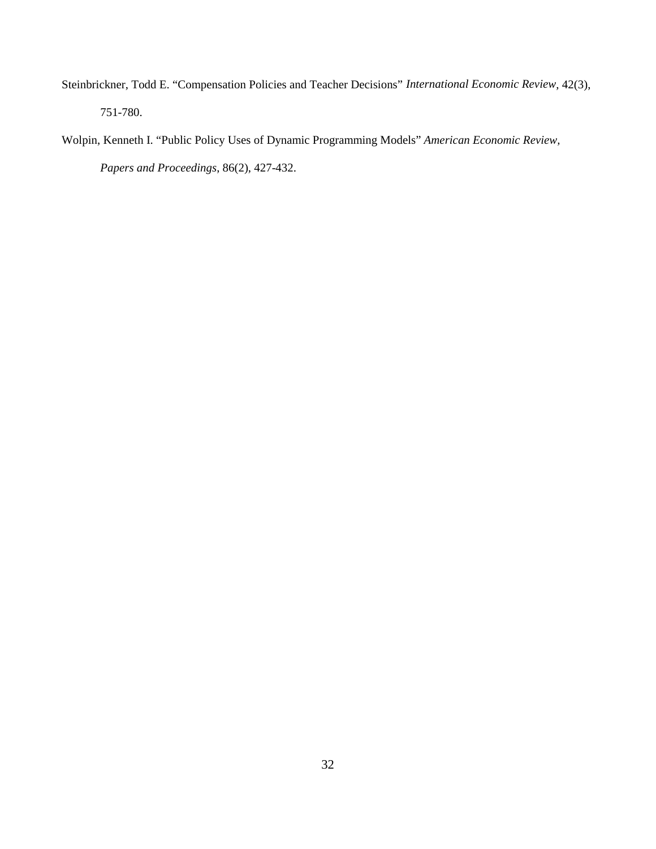- Steinbrickner, Todd E. "Compensation Policies and Teacher Decisions" *International Economic Review*, 42(3), 751-780.
- Wolpin, Kenneth I. "Public Policy Uses of Dynamic Programming Models" *American Economic Review, Papers and Proceedings*, 86(2), 427-432.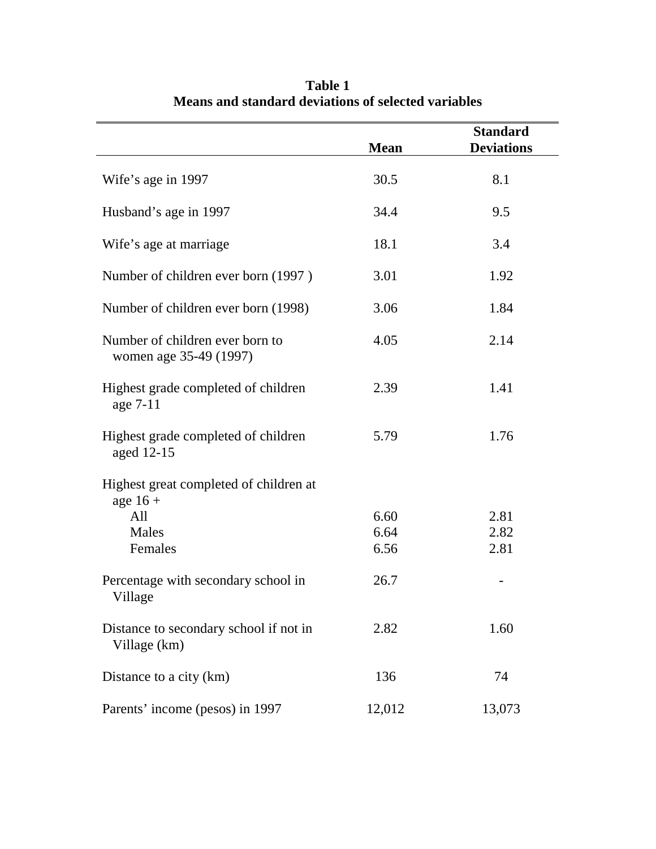|                                                           | <b>Mean</b> | <b>Standard</b><br><b>Deviations</b> |
|-----------------------------------------------------------|-------------|--------------------------------------|
| Wife's age in 1997                                        | 30.5        | 8.1                                  |
| Husband's age in 1997                                     | 34.4        | 9.5                                  |
| Wife's age at marriage                                    | 18.1        | 3.4                                  |
| Number of children ever born (1997)                       | 3.01        | 1.92                                 |
| Number of children ever born (1998)                       | 3.06        | 1.84                                 |
| Number of children ever born to<br>women age 35-49 (1997) | 4.05        | 2.14                                 |
| Highest grade completed of children<br>age 7-11           | 2.39        | 1.41                                 |
| Highest grade completed of children<br>aged 12-15         | 5.79        | 1.76                                 |
| Highest great completed of children at<br>age $16 +$      |             |                                      |
| All                                                       | 6.60        | 2.81                                 |
| Males                                                     | 6.64        | 2.82                                 |
| Females                                                   | 6.56        | 2.81                                 |
| Percentage with secondary school in<br>Village            | 26.7        |                                      |
| Distance to secondary school if not in<br>Village (km)    | 2.82        | 1.60                                 |
| Distance to a city (km)                                   | 136         | 74                                   |
| Parents' income (pesos) in 1997                           | 12,012      | 13,073                               |

**Table 1 Means and standard deviations of selected variables**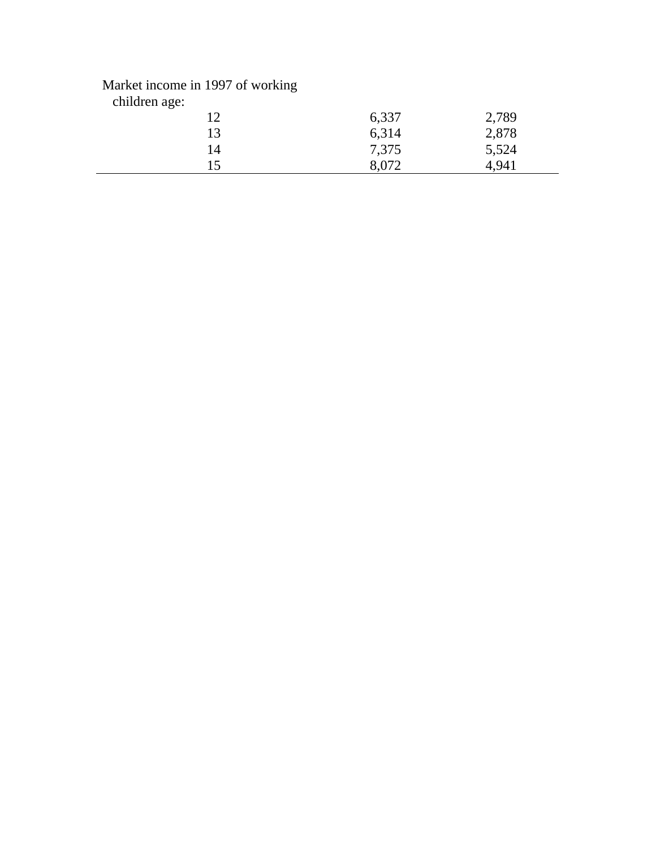## Market income in 1997 of working

| children age: |       |       |  |
|---------------|-------|-------|--|
| ר ו           | 6,337 | 2,789 |  |
| 13            | 6,314 | 2,878 |  |
| 14            | 7,375 | 5,524 |  |
| 15            | 8,072 | 4,94  |  |
|               |       |       |  |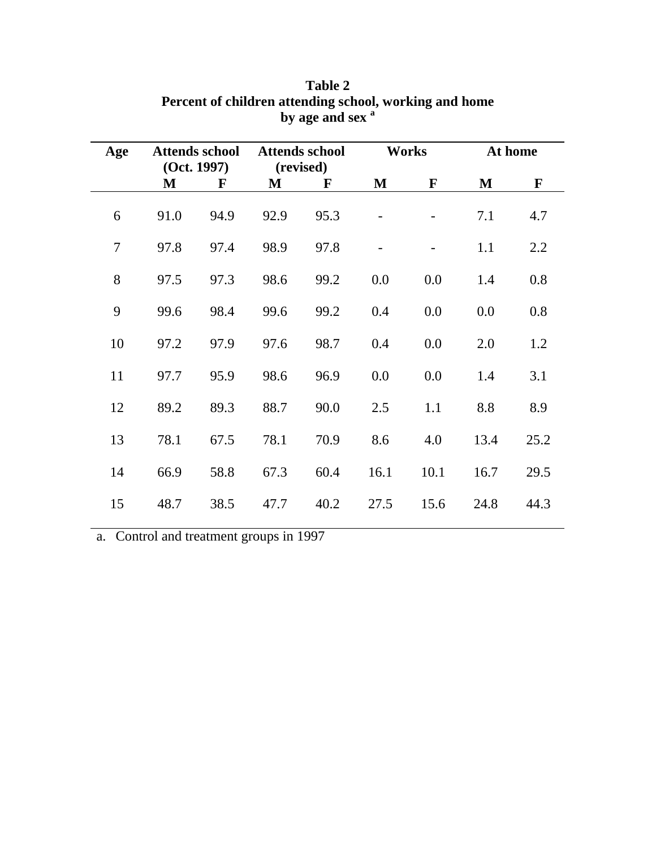| Age |      | <b>Attends school</b><br>(Oct. 1997) |      | <b>Attends school</b><br>(revised) |      | <b>Works</b> | At home |              |
|-----|------|--------------------------------------|------|------------------------------------|------|--------------|---------|--------------|
|     | M    | F                                    | M    | $\mathbf{F}$                       | M    | $\mathbf{F}$ | M       | $\mathbf{F}$ |
| 6   | 91.0 | 94.9                                 | 92.9 | 95.3                               |      |              | 7.1     | 4.7          |
| 7   | 97.8 | 97.4                                 | 98.9 | 97.8                               |      |              | 1.1     | 2.2          |
| 8   | 97.5 | 97.3                                 | 98.6 | 99.2                               | 0.0  | 0.0          | 1.4     | 0.8          |
| 9   | 99.6 | 98.4                                 | 99.6 | 99.2                               | 0.4  | 0.0          | 0.0     | 0.8          |
| 10  | 97.2 | 97.9                                 | 97.6 | 98.7                               | 0.4  | 0.0          | 2.0     | 1.2          |
| 11  | 97.7 | 95.9                                 | 98.6 | 96.9                               | 0.0  | 0.0          | 1.4     | 3.1          |
| 12  | 89.2 | 89.3                                 | 88.7 | 90.0                               | 2.5  | 1.1          | 8.8     | 8.9          |
| 13  | 78.1 | 67.5                                 | 78.1 | 70.9                               | 8.6  | 4.0          | 13.4    | 25.2         |
| 14  | 66.9 | 58.8                                 | 67.3 | 60.4                               | 16.1 | 10.1         | 16.7    | 29.5         |
| 15  | 48.7 | 38.5                                 | 47.7 | 40.2                               | 27.5 | 15.6         | 24.8    | 44.3         |

## **Table 2 Percent of children attending school, working and home** by age and sex<sup>a</sup>

a. Control and treatment groups in 1997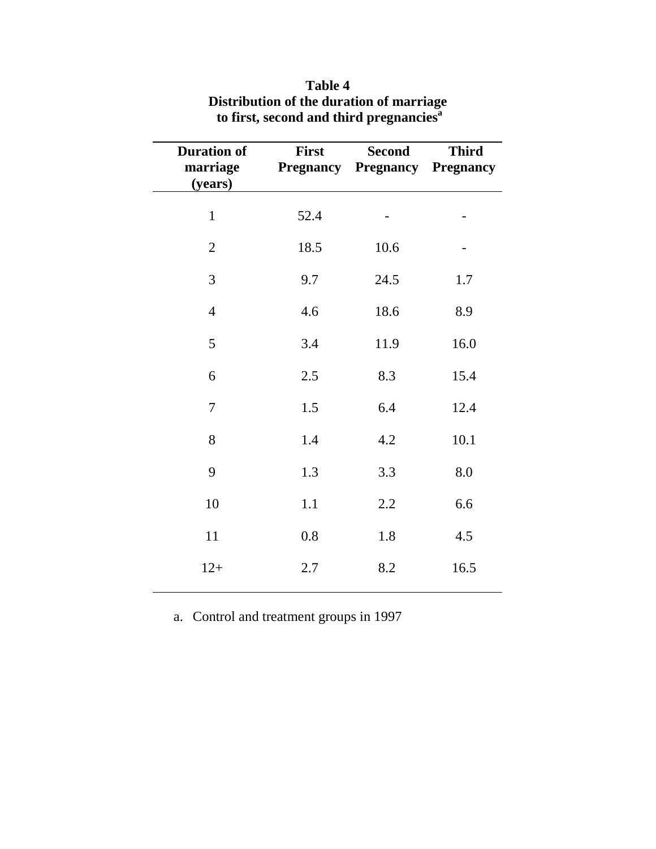| <b>Duration of</b><br>marriage<br>(years) | First | <b>Second</b><br><b>Pregnancy Pregnancy</b> | <b>Third</b><br><b>Pregnancy</b> |
|-------------------------------------------|-------|---------------------------------------------|----------------------------------|
| $\mathbf{1}$                              | 52.4  |                                             |                                  |
| $\mathfrak{2}$                            | 18.5  | 10.6                                        |                                  |
| 3                                         | 9.7   | 24.5                                        | 1.7                              |
| $\overline{4}$                            | 4.6   | 18.6                                        | 8.9                              |
| 5                                         | 3.4   | 11.9                                        | 16.0                             |
| 6                                         | 2.5   | 8.3                                         | 15.4                             |
| $\tau$                                    | 1.5   | 6.4                                         | 12.4                             |
| 8                                         | 1.4   | 4.2                                         | 10.1                             |
| 9                                         | 1.3   | 3.3                                         | 8.0                              |
| 10                                        | 1.1   | 2.2                                         | 6.6                              |
| 11                                        | 0.8   | 1.8                                         | 4.5                              |
| $12+$                                     | 2.7   | 8.2                                         | 16.5                             |

## **Table 4 Distribution of the duration of marriage to first, second and third pregnanciesa**

a. Control and treatment groups in 1997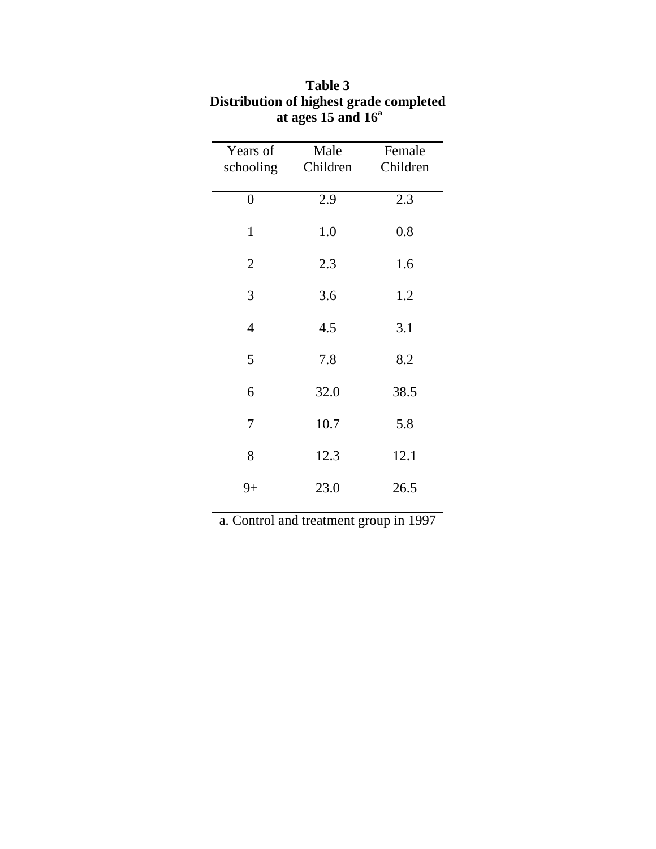| Male | Female                                                       |
|------|--------------------------------------------------------------|
|      | Children                                                     |
|      |                                                              |
|      | 2.3                                                          |
|      | 0.8                                                          |
|      |                                                              |
| 2.3  | 1.6                                                          |
|      |                                                              |
|      | 1.2                                                          |
|      | 3.1                                                          |
|      |                                                              |
| 7.8  | 8.2                                                          |
|      |                                                              |
|      | 38.5                                                         |
|      | 5.8                                                          |
|      |                                                              |
| 12.3 | 12.1                                                         |
|      |                                                              |
|      | 26.5                                                         |
|      | Children<br>2.9<br>1.0<br>3.6<br>4.5<br>32.0<br>10.7<br>23.0 |

# **Table 3 Distribution of highest grade completed at ages 15 and 16<sup>a</sup>**

a. Control and treatment group in 1997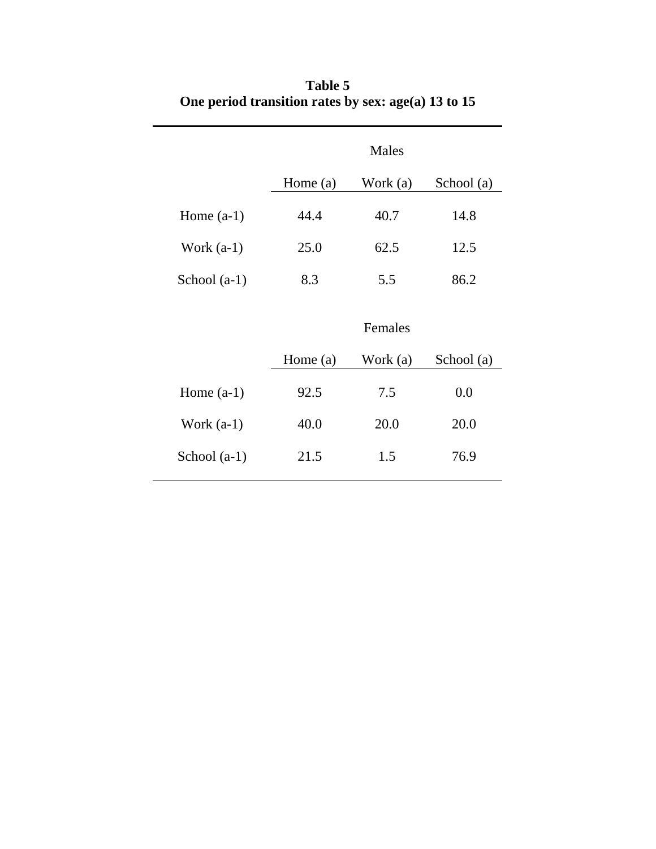|                |            | Males    |            |
|----------------|------------|----------|------------|
|                | Home (a)   | Work (a) | School (a) |
| Home $(a-1)$   | 44.4       | 40.7     | 14.8       |
| Work $(a-1)$   | 25.0       | 62.5     | 12.5       |
| School $(a-1)$ | 8.3        | 5.5      | 86.2       |
|                |            | Females  |            |
|                | Home $(a)$ | Work (a) | School (a) |
| Home $(a-1)$   | 92.5       | 7.5      | 0.0        |
| Work $(a-1)$   | 40.0       | 20.0     | 20.0       |
| School $(a-1)$ | 21.5       | 1.5      | 76.9       |

# **Table 5 One period transition rates by sex: age(a) 13 to 15**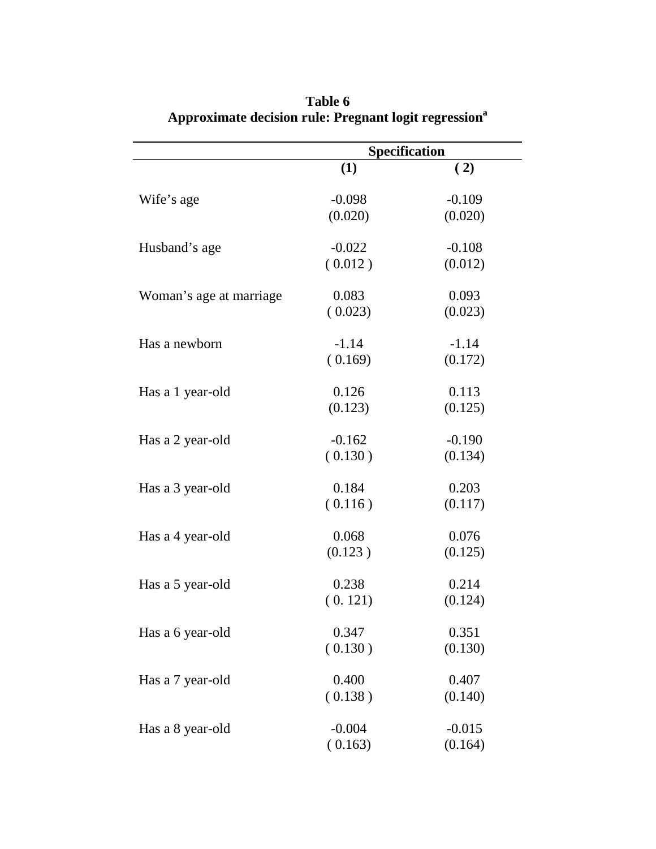|                         | <b>Specification</b> |          |  |
|-------------------------|----------------------|----------|--|
|                         | (1)                  | (2)      |  |
| Wife's age              | $-0.098$             | $-0.109$ |  |
|                         | (0.020)              | (0.020)  |  |
| Husband's age           | $-0.022$             | $-0.108$ |  |
|                         | (0.012)              | (0.012)  |  |
| Woman's age at marriage | 0.083                | 0.093    |  |
|                         | (0.023)              | (0.023)  |  |
| Has a newborn           | $-1.14$              | $-1.14$  |  |
|                         | (0.169)              | (0.172)  |  |
| Has a 1 year-old        | 0.126                | 0.113    |  |
|                         | (0.123)              | (0.125)  |  |
| Has a 2 year-old        | $-0.162$             | $-0.190$ |  |
|                         | (0.130)              | (0.134)  |  |
| Has a 3 year-old        | 0.184                | 0.203    |  |
|                         | (0.116)              | (0.117)  |  |
| Has a 4 year-old        | 0.068                | 0.076    |  |
|                         | (0.123)              | (0.125)  |  |
| Has a 5 year-old        | 0.238                | 0.214    |  |
|                         | (0.121)              | (0.124)  |  |
| Has a 6 year-old        | 0.347                | 0.351    |  |
|                         | (0.130)              | (0.130)  |  |
| Has a 7 year-old        | 0.400                | 0.407    |  |
|                         | (0.138)              | (0.140)  |  |
| Has a 8 year-old        | $-0.004$             | $-0.015$ |  |
|                         | (0.163)              | (0.164)  |  |

**Table 6 Approximate decision rule: Pregnant logit regression<sup>a</sup>**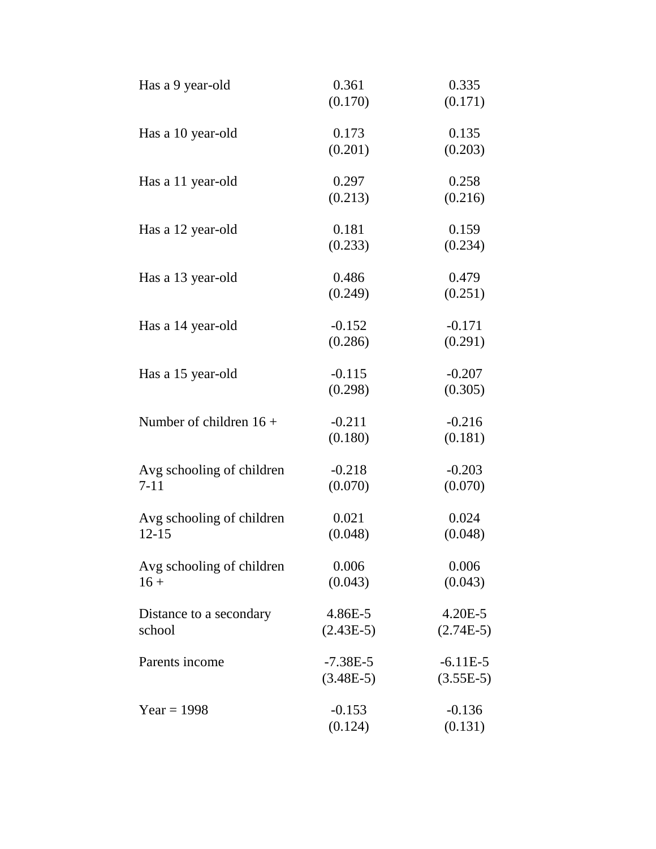| Has a 9 year-old          | 0.361<br>(0.170) | 0.335<br>(0.171) |
|---------------------------|------------------|------------------|
|                           |                  |                  |
| Has a 10 year-old         | 0.173<br>(0.201) | 0.135<br>(0.203) |
| Has a 11 year-old         | 0.297            | 0.258            |
|                           | (0.213)          | (0.216)          |
| Has a 12 year-old         | 0.181            | 0.159            |
|                           | (0.233)          | (0.234)          |
| Has a 13 year-old         | 0.486            | 0.479            |
|                           | (0.249)          | (0.251)          |
| Has a 14 year-old         | $-0.152$         | $-0.171$         |
|                           | (0.286)          | (0.291)          |
| Has a 15 year-old         | $-0.115$         | $-0.207$         |
|                           | (0.298)          | (0.305)          |
| Number of children $16 +$ | $-0.211$         | $-0.216$         |
|                           | (0.180)          | (0.181)          |
| Avg schooling of children | $-0.218$         | $-0.203$         |
| $7 - 11$                  | (0.070)          | (0.070)          |
| Avg schooling of children | 0.021            | 0.024            |
| $12 - 15$                 | (0.048)          | (0.048)          |
| Avg schooling of children | 0.006            | 0.006            |
| $16 +$                    | (0.043)          | (0.043)          |
| Distance to a secondary   | 4.86E-5          | $4.20E - 5$      |
| school                    | $(2.43E-5)$      | $(2.74E-5)$      |
| Parents income            | $-7.38E-5$       | $-6.11E-5$       |
|                           | $(3.48E-5)$      | $(3.55E-5)$      |
| $Year = 1998$             | $-0.153$         | $-0.136$         |
|                           | (0.124)          | (0.131)          |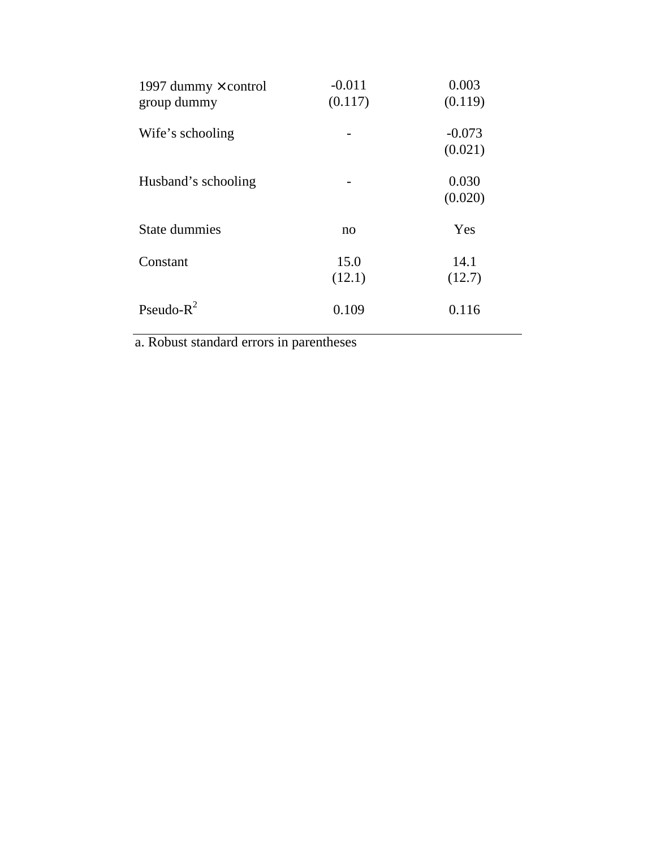| 1997 dummy $\times$ control<br>group dummy | $-0.011$<br>(0.117) | 0.003<br>(0.119)    |
|--------------------------------------------|---------------------|---------------------|
| Wife's schooling                           |                     | $-0.073$<br>(0.021) |
| Husband's schooling                        |                     | 0.030<br>(0.020)    |
| <b>State dummies</b>                       | no                  | Yes                 |
| Constant                                   | 15.0<br>(12.1)      | 14.1<br>(12.7)      |
| Pseudo- $R^2$                              | 0.109               | 0.116               |

a. Robust standard errors in parentheses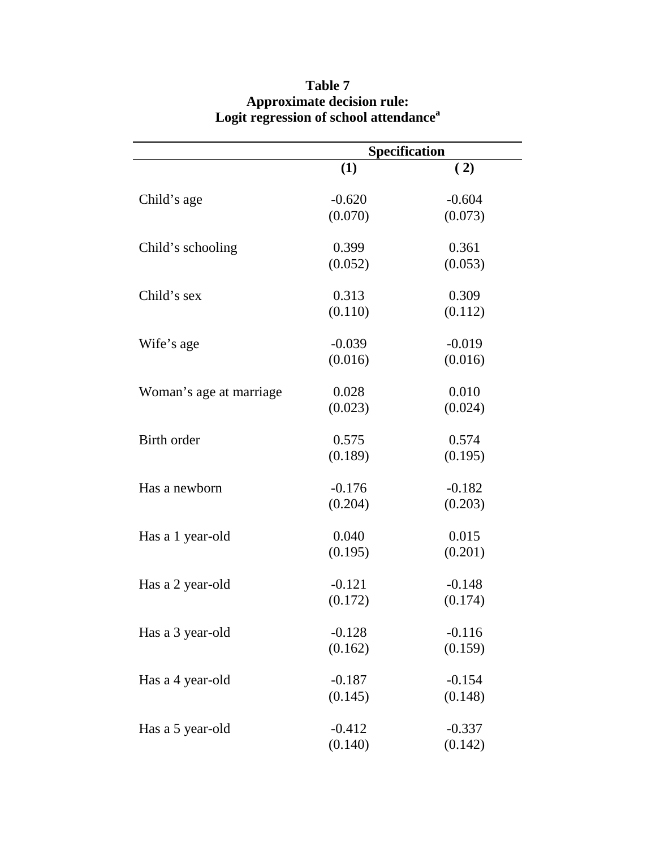|                         | Specification    |          |  |
|-------------------------|------------------|----------|--|
|                         | (1)              | (2)      |  |
| Child's age             | $-0.620$         | $-0.604$ |  |
|                         | (0.070)          | (0.073)  |  |
|                         |                  | 0.361    |  |
| Child's schooling       | 0.399<br>(0.052) | (0.053)  |  |
|                         |                  |          |  |
| Child's sex             | 0.313            | 0.309    |  |
|                         | (0.110)          | (0.112)  |  |
| Wife's age              | $-0.039$         | $-0.019$ |  |
|                         | (0.016)          | (0.016)  |  |
| Woman's age at marriage | 0.028            | 0.010    |  |
|                         | (0.023)          | (0.024)  |  |
|                         |                  |          |  |
| Birth order             | 0.575            | 0.574    |  |
|                         | (0.189)          | (0.195)  |  |
| Has a newborn           | $-0.176$         | $-0.182$ |  |
|                         | (0.204)          | (0.203)  |  |
| Has a 1 year-old        | 0.040            | 0.015    |  |
|                         | (0.195)          | (0.201)  |  |
|                         |                  |          |  |
| Has a 2 year-old        | $-0.121$         | $-0.148$ |  |
|                         | (0.172)          | (0.174)  |  |
| Has a 3 year-old        | $-0.128$         | $-0.116$ |  |
|                         | (0.162)          | (0.159)  |  |
| Has a 4 year-old        | $-0.187$         | $-0.154$ |  |
|                         | (0.145)          | (0.148)  |  |
|                         |                  |          |  |
| Has a 5 year-old        | $-0.412$         | $-0.337$ |  |
|                         | (0.140)          | (0.142)  |  |

## **Table 7 Approximate decision rule: Logit regression of school attendance<sup>a</sup>**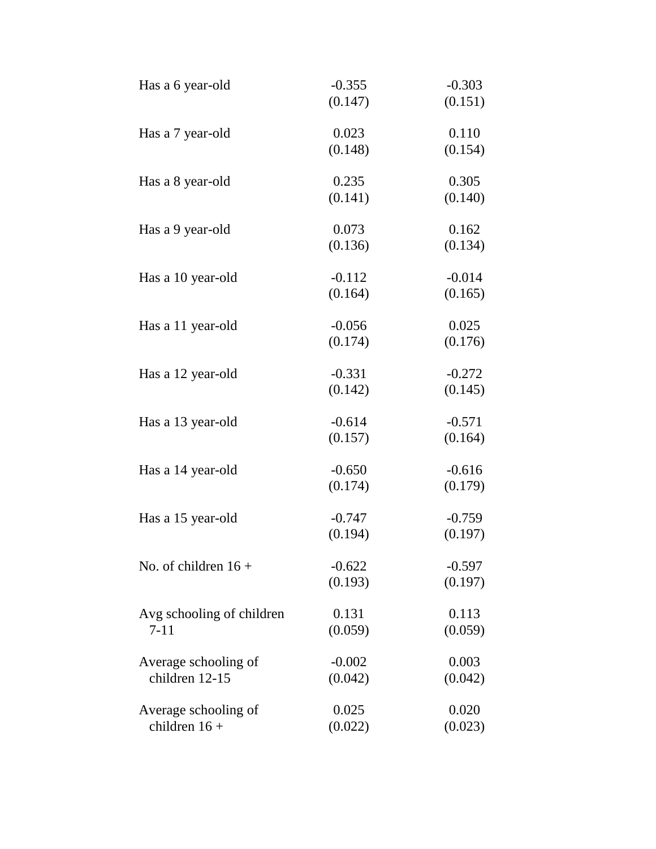| Has a 6 year-old          | $-0.355$ | $-0.303$ |
|---------------------------|----------|----------|
|                           | (0.147)  | (0.151)  |
| Has a 7 year-old          | 0.023    | 0.110    |
|                           | (0.148)  | (0.154)  |
| Has a 8 year-old          | 0.235    | 0.305    |
|                           | (0.141)  | (0.140)  |
| Has a 9 year-old          | 0.073    | 0.162    |
|                           | (0.136)  | (0.134)  |
| Has a 10 year-old         | $-0.112$ | $-0.014$ |
|                           | (0.164)  | (0.165)  |
| Has a 11 year-old         | $-0.056$ | 0.025    |
|                           | (0.174)  | (0.176)  |
| Has a 12 year-old         | $-0.331$ | $-0.272$ |
|                           | (0.142)  | (0.145)  |
| Has a 13 year-old         | $-0.614$ | $-0.571$ |
|                           | (0.157)  | (0.164)  |
| Has a 14 year-old         | $-0.650$ | $-0.616$ |
|                           | (0.174)  | (0.179)  |
| Has a 15 year-old         | $-0.747$ | $-0.759$ |
|                           | (0.194)  | (0.197)  |
| No. of children $16 +$    | $-0.622$ | $-0.597$ |
|                           | (0.193)  | (0.197)  |
| Avg schooling of children | 0.131    | 0.113    |
| $7 - 11$                  | (0.059)  | (0.059)  |
| Average schooling of      | $-0.002$ | 0.003    |
| children 12-15            | (0.042)  | (0.042)  |
| Average schooling of      | 0.025    | 0.020    |
| children $16 +$           | (0.022)  | (0.023)  |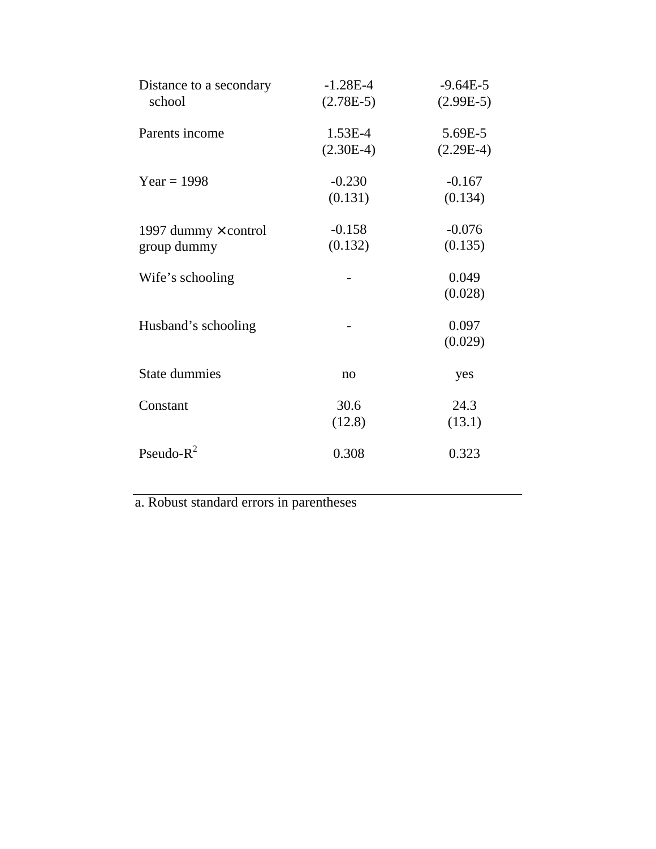| Distance to a secondary<br>school          | $-1.28E-4$<br>$(2.78E-5)$ | $-9.64E-5$<br>$(2.99E-5)$ |
|--------------------------------------------|---------------------------|---------------------------|
| Parents income                             | 1.53E-4<br>$(2.30E-4)$    | 5.69E-5<br>$(2.29E-4)$    |
| $Year = 1998$                              | $-0.230$<br>(0.131)       | $-0.167$<br>(0.134)       |
| 1997 dummy $\times$ control<br>group dummy | $-0.158$<br>(0.132)       | $-0.076$<br>(0.135)       |
| Wife's schooling                           |                           | 0.049<br>(0.028)          |
| Husband's schooling                        |                           | 0.097<br>(0.029)          |
| <b>State dummies</b>                       | no                        | yes                       |
| Constant                                   | 30.6<br>(12.8)            | 24.3<br>(13.1)            |
| Pseudo- $R^2$                              | 0.308                     | 0.323                     |

a. Robust standard errors in parentheses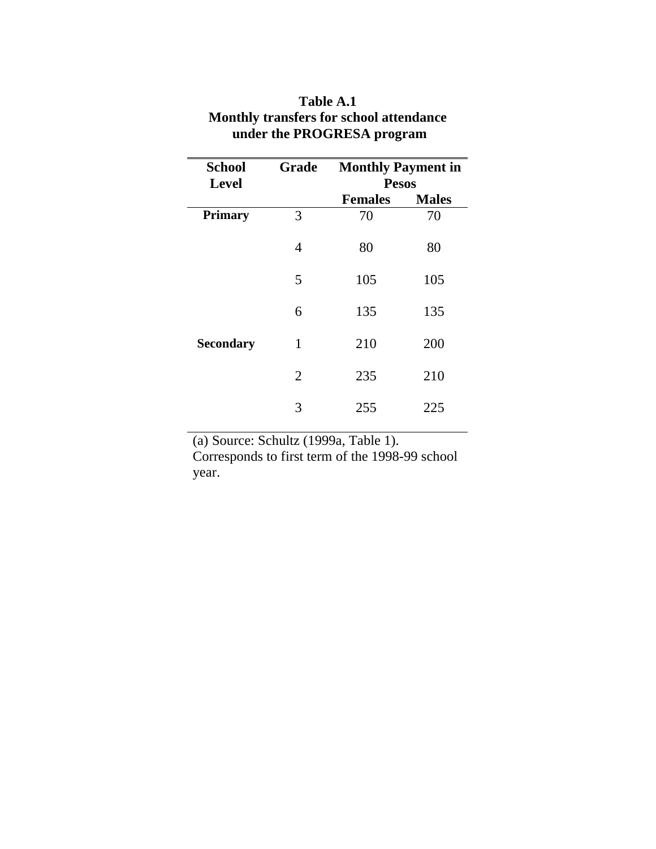| <b>School</b><br><b>Level</b> | Grade          | <b>Monthly Payment in</b><br><b>Pesos</b> |              |  |
|-------------------------------|----------------|-------------------------------------------|--------------|--|
|                               |                | <b>Females</b>                            | <b>Males</b> |  |
| <b>Primary</b>                | 3              | 70                                        | 70           |  |
|                               | $\overline{4}$ | 80                                        | 80           |  |
|                               | 5              | 105                                       | 105          |  |
|                               | 6              | 135                                       | 135          |  |
| <b>Secondary</b>              | 1              | 210                                       | 200          |  |
|                               | $\overline{2}$ | 235                                       | 210          |  |
|                               | 3              | 255                                       | 225          |  |

## **Table A.1 Monthly transfers for school attendance under the PROGRESA program**

(a) Source: Schultz (1999a, Table 1).

Corresponds to first term of the 1998-99 school year.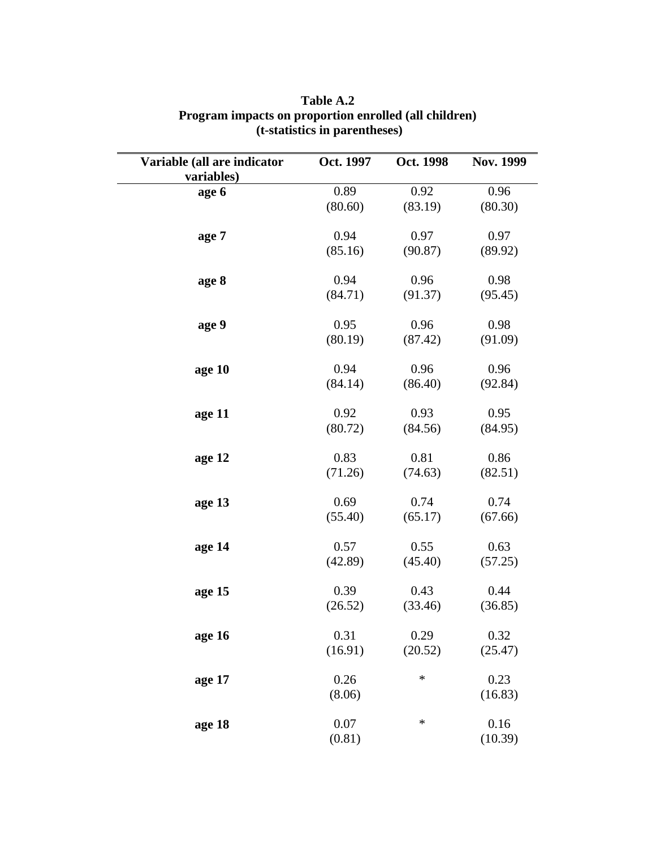| Variable (all are indicator<br>variables) | Oct. 1997 | Oct. 1998 | Nov. 1999 |
|-------------------------------------------|-----------|-----------|-----------|
| age 6                                     | 0.89      | 0.92      | 0.96      |
|                                           | (80.60)   | (83.19)   | (80.30)   |
| age 7                                     | 0.94      | 0.97      | 0.97      |
|                                           | (85.16)   | (90.87)   | (89.92)   |
| age 8                                     | 0.94      | 0.96      | 0.98      |
|                                           | (84.71)   | (91.37)   | (95.45)   |
| age 9                                     | 0.95      | 0.96      | 0.98      |
|                                           | (80.19)   | (87.42)   | (91.09)   |
| age 10                                    | 0.94      | 0.96      | 0.96      |
|                                           | (84.14)   | (86.40)   | (92.84)   |
| age 11                                    | 0.92      | 0.93      | 0.95      |
|                                           | (80.72)   | (84.56)   | (84.95)   |
| age 12                                    | 0.83      | 0.81      | 0.86      |
|                                           | (71.26)   | (74.63)   | (82.51)   |
| age 13                                    | 0.69      | 0.74      | 0.74      |
|                                           | (55.40)   | (65.17)   | (67.66)   |
| age 14                                    | 0.57      | 0.55      | 0.63      |
|                                           | (42.89)   | (45.40)   | (57.25)   |
| age 15                                    | 0.39      | 0.43      | 0.44      |
|                                           | (26.52)   | (33.46)   | (36.85)   |
| age 16                                    | 0.31      | 0.29      | 0.32      |
|                                           | (16.91)   | (20.52)   | (25.47)   |
| age 17                                    | 0.26      | $\ast$    | 0.23      |
|                                           | (8.06)    |           | (16.83)   |
| age 18                                    | 0.07      | ∗         | 0.16      |
|                                           | (0.81)    |           | (10.39)   |

**Table A.2 Program impacts on proportion enrolled (all children) (t-statistics in parentheses)**